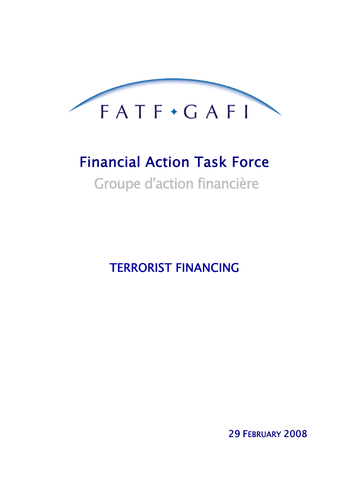

# Financial Action Task Force

Groupe d'action financière

TERRORIST FINANCING

29 FEBRUARY 2008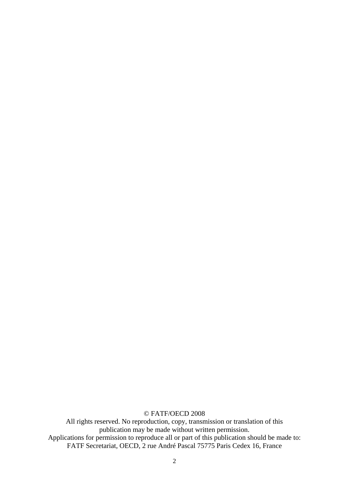© FATF/OECD 2008

All rights reserved. No reproduction, copy, transmission or translation of this publication may be made without written permission. Applications for permission to reproduce all or part of this publication should be made to: FATF Secretariat, OECD, 2 rue André Pascal 75775 Paris Cedex 16, France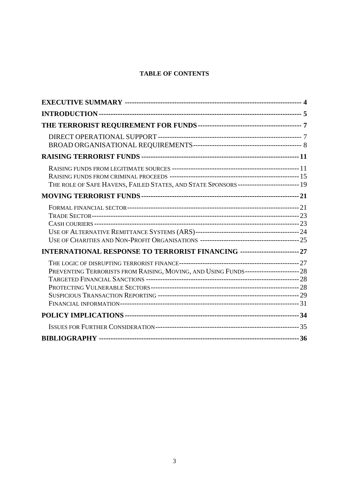# **TABLE OF CONTENTS**

| THE ROLE OF SAFE HAVENS, FAILED STATES, AND STATE SPONSORS------------------------- 19 |  |
|----------------------------------------------------------------------------------------|--|
|                                                                                        |  |
|                                                                                        |  |
| INTERNATIONAL RESPONSE TO TERRORIST FINANCING ------------------------- 27             |  |
| PREVENTING TERRORISTS FROM RAISING, MOVING, AND USING FUNDS----------------------- 28  |  |
|                                                                                        |  |
|                                                                                        |  |
|                                                                                        |  |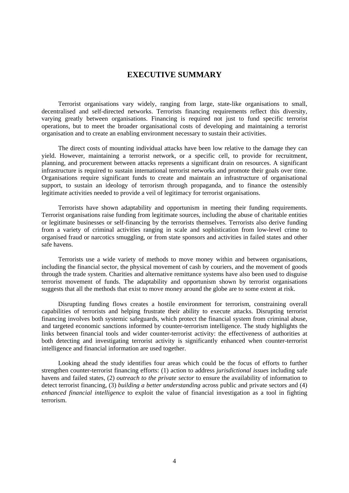# **EXECUTIVE SUMMARY**

<span id="page-3-0"></span>Terrorist organisations vary widely, ranging from large, state-like organisations to small, decentralised and self-directed networks. Terrorists financing requirements reflect this diversity, varying greatly between organisations. Financing is required not just to fund specific terrorist operations, but to meet the broader organisational costs of developing and maintaining a terrorist organisation and to create an enabling environment necessary to sustain their activities.

The direct costs of mounting individual attacks have been low relative to the damage they can yield. However, maintaining a terrorist network, or a specific cell, to provide for recruitment, planning, and procurement between attacks represents a significant drain on resources. A significant infrastructure is required to sustain international terrorist networks and promote their goals over time. Organisations require significant funds to create and maintain an infrastructure of organisational support, to sustain an ideology of terrorism through propaganda, and to finance the ostensibly legitimate activities needed to provide a veil of legitimacy for terrorist organisations.

Terrorists have shown adaptability and opportunism in meeting their funding requirements. Terrorist organisations raise funding from legitimate sources, including the abuse of charitable entities or legitimate businesses or self-financing by the terrorists themselves. Terrorists also derive funding from a variety of criminal activities ranging in scale and sophistication from low-level crime to organised fraud or narcotics smuggling, or from state sponsors and activities in failed states and other safe havens.

Terrorists use a wide variety of methods to move money within and between organisations, including the financial sector, the physical movement of cash by couriers, and the movement of goods through the trade system. Charities and alternative remittance systems have also been used to disguise terrorist movement of funds. The adaptability and opportunism shown by terrorist organisations suggests that all the methods that exist to move money around the globe are to some extent at risk.

Disrupting funding flows creates a hostile environment for terrorism, constraining overall capabilities of terrorists and helping frustrate their ability to execute attacks. Disrupting terrorist financing involves both systemic safeguards, which protect the financial system from criminal abuse, and targeted economic sanctions informed by counter-terrorism intelligence. The study highlights the links between financial tools and wider counter-terrorist activity: the effectiveness of authorities at both detecting and investigating terrorist activity is significantly enhanced when counter-terrorist intelligence and financial information are used together.

Looking ahead the study identifies four areas which could be the focus of efforts to further strengthen counter-terrorist financing efforts: (1) action to address *jurisdictional issues* including safe havens and failed states, (2) *outreach to the private sector* to ensure the availability of information to detect terrorist financing, (3) *building a better understanding* across public and private sectors and (4) *enhanced financial intelligence* to exploit the value of financial investigation as a tool in fighting terrorism.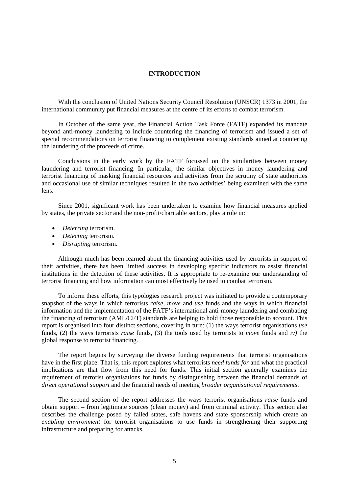## **INTRODUCTION**

<span id="page-4-0"></span>With the conclusion of United Nations Security Council Resolution (UNSCR) 1373 in 2001, the international community put financial measures at the centre of its efforts to combat terrorism.

In October of the same year, the Financial Action Task Force (FATF) expanded its mandate beyond anti-money laundering to include countering the financing of terrorism and issued a set of special recommendations on terrorist financing to complement existing standards aimed at countering the laundering of the proceeds of crime.

Conclusions in the early work by the FATF focussed on the similarities between money laundering and terrorist financing. In particular, the similar objectives in money laundering and terrorist financing of masking financial resources and activities from the scrutiny of state authorities and occasional use of similar techniques resulted in the two activities' being examined with the same lens.

Since 2001, significant work has been undertaken to examine how financial measures applied by states, the private sector and the non-profit/charitable sectors, play a role in:

- *Deterring* terrorism.
- *Detecting* terrorism.
- *Disrupting* terrorism.

Although much has been learned about the financing activities used by terrorists in support of their activities, there has been limited success in developing specific indicators to assist financial institutions in the detection of these activities. It is appropriate to re-examine our understanding of terrorist financing and how information can most effectively be used to combat terrorism.

To inform these efforts, this typologies research project was initiated to provide a contemporary snapshot of the ways in which terrorists *raise*, *move* and *use* funds and the ways in which financial information and the implementation of the FATF's international anti-money laundering and combating the financing of terrorism (AML/CFT) standards are helping to hold those responsible to account. This report is organised into four distinct sections, covering in turn: (1) the ways terrorist organisations *use* funds, (2) the ways terrorists *raise* funds, (3) the tools used by terrorists to *move* funds and *iv)* the global response to terrorist financing.

The report begins by surveying the diverse funding requirements that terrorist organisations have in the first place. That is, this report explores what terrorists *need funds for* and what the practical implications are that flow from this need for funds. This initial section generally examines the requirement of terrorist organisations for funds by distinguishing between the financial demands of *direct operational support* and the financial needs of meeting *broader organisational requirements*.

The second section of the report addresses the ways terrorist organisations *raise* funds and obtain support – from legitimate sources (clean money) and from criminal activity. This section also describes the challenge posed by failed states, safe havens and state sponsorship which create an *enabling environment* for terrorist organisations to use funds in strengthening their supporting infrastructure and preparing for attacks.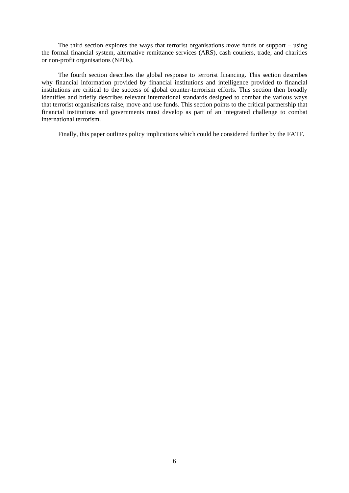The third section explores the ways that terrorist organisations *move* funds or support – using the formal financial system, alternative remittance services (ARS), cash couriers, trade, and charities or non-profit organisations (NPOs).

The fourth section describes the global response to terrorist financing. This section describes why financial information provided by financial institutions and intelligence provided to financial institutions are critical to the success of global counter-terrorism efforts. This section then broadly identifies and briefly describes relevant international standards designed to combat the various ways that terrorist organisations raise, move and use funds. This section points to the critical partnership that financial institutions and governments must develop as part of an integrated challenge to combat international terrorism.

Finally, this paper outlines policy implications which could be considered further by the FATF.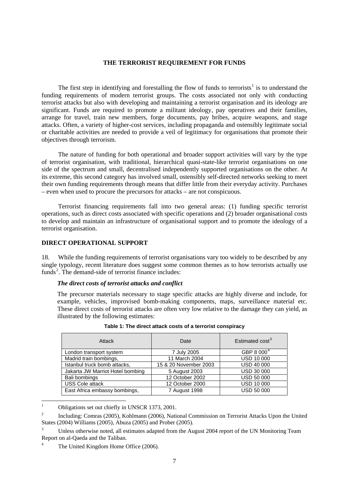## **THE TERRORIST REQUIREMENT FOR FUNDS**

<span id="page-6-0"></span>The first step in identifying and forestalling the flow of funds to terrorists<sup>[1](#page-6-1)</sup> is to understand the funding requirements of modern terrorist groups. The costs associated not only with conducting terrorist attacks but also with developing and maintaining a terrorist organisation and its ideology are significant. Funds are required to promote a militant ideology, pay operatives and their families, arrange for travel, train new members, forge documents, pay bribes, acquire weapons, and stage attacks. Often, a variety of higher-cost services, including propaganda and ostensibly legitimate social or charitable activities are needed to provide a veil of legitimacy for organisations that promote their objectives through terrorism.

The nature of funding for both operational and broader support activities will vary by the type of terrorist organisation, with traditional, hierarchical quasi-state-like terrorist organisations on one side of the spectrum and small, decentralised independently supported organisations on the other. At its extreme, this second category has involved small, ostensibly self-directed networks seeking to meet their own funding requirements through means that differ little from their everyday activity. Purchases – even when used to procure the precursors for attacks – are not conspicuous.

Terrorist financing requirements fall into two general areas: (1) funding specific terrorist operations, such as direct costs associated with specific operations and (2) broader organisational costs to develop and maintain an infrastructure of organisational support and to promote the ideology of a terrorist organisation.

## **DIRECT OPERATIONAL SUPPORT**

18. While the funding requirements of terrorist organisations vary too widely to be described by any single typology, recent literature does suggest some common themes as to how terrorists actually use funds<sup>[2](#page-6-2)</sup>. The demand-side of terrorist finance includes:

#### *The direct costs of terrorist attacks and conflict*

The precursor materials necessary to stage specific attacks are highly diverse and include, for example, vehicles, improvised bomb-making components, maps, surveillance material etc. These direct costs of terrorist attacks are often very low relative to the damage they can yield, as illustrated by the following estimates:

| Attack                           | Date                  | Estimated cost <sup>3</sup> |
|----------------------------------|-----------------------|-----------------------------|
| London transport system          | 7 July 2005           | GBP 8 000 <sup>4</sup>      |
| Madrid train bombings,           | 11 March 2004         | <b>USD 10 000</b>           |
| Istanbul truck bomb attacks,     | 15 & 20 November 2003 | <b>USD 40 000</b>           |
| Jakarta JW Marriot Hotel bombing | 5 August 2003         | <b>USD 30 000</b>           |
| Bali bombings                    | 12 October 2002       | <b>USD 50 000</b>           |
| <b>USS Cole attack</b>           | 12 October 2000       | <b>USD 10 000</b>           |
| East Africa embassy bombings,    | 7 August 1998         | <b>USD 50 000</b>           |

|  | Table 1: The direct attack costs of a terrorist conspiracy |  |  |  |
|--|------------------------------------------------------------|--|--|--|
|--|------------------------------------------------------------|--|--|--|

 $\frac{1}{1}$ Obligations set out chiefly in UNSCR 1373, 2001.

<span id="page-6-2"></span><span id="page-6-1"></span><sup>2</sup> Including: Comras (2005), Kohlmann (2006), National Commission on Terrorist Attacks Upon the United States (2004) Williams (2005), Abuza (2005) and Prober (2005).

<span id="page-6-3"></span><sup>3</sup> Unless otherwise noted, all estimates adapted from the August 2004 report of the UN Monitoring Team Report on al-Qaeda and the Taliban.

<span id="page-6-4"></span><sup>4</sup> The United Kingdom Home Office (2006).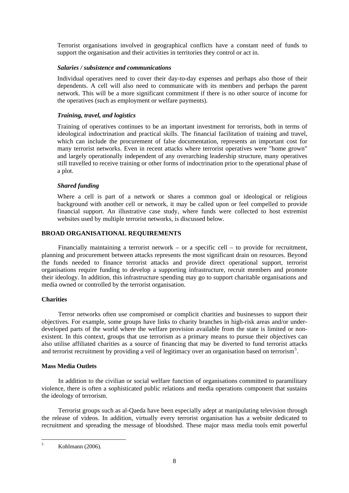<span id="page-7-0"></span>Terrorist organisations involved in geographical conflicts have a constant need of funds to support the organisation and their activities in territories they control or act in.

## *Salaries / subsistence and communications*

Individual operatives need to cover their day-to-day expenses and perhaps also those of their dependents. A cell will also need to communicate with its members and perhaps the parent network. This will be a more significant commitment if there is no other source of income for the operatives (such as employment or welfare payments).

## *Training, travel, and logistics*

Training of operatives continues to be an important investment for terrorists, both in terms of ideological indoctrination and practical skills. The financial facilitation of training and travel, which can include the procurement of false documentation, represents an important cost for many terrorist networks. Even in recent attacks where terrorist operatives were "home grown" and largely operationally independent of any overarching leadership structure, many operatives still travelled to receive training or other forms of indoctrination prior to the operational phase of a plot.

## *Shared funding*

Where a cell is part of a network or shares a common goal or ideological or religious background with another cell or network, it may be called upon or feel compelled to provide financial support. An illustrative case study, where funds were collected to host extremist websites used by multiple terrorist networks, is discussed below.

## **BROAD ORGANISATIONAL REQUIREMENTS**

Financially maintaining a terrorist network – or a specific cell – to provide for recruitment, planning and procurement between attacks represents the most significant drain on resources. Beyond the funds needed to finance terrorist attacks and provide direct operational support, terrorist organisations require funding to develop a supporting infrastructure, recruit members and promote their ideology. In addition, this infrastructure spending may go to support charitable organisations and media owned or controlled by the terrorist organisation.

## **Charities**

Terror networks often use compromised or complicit charities and businesses to support their objectives. For example, some groups have links to charity branches in high-risk areas and/or underdeveloped parts of the world where the welfare provision available from the state is limited or nonexistent. In this context, groups that use terrorism as a primary means to pursue their objectives can also utilise affiliated charities as a source of financing that may be diverted to fund terrorist attacks and terrorist recruitment by providing a veil of legitimacy over an organisation based on terrorism<sup>[5](#page-7-1)</sup>.

## **Mass Media Outlets**

In addition to the civilian or social welfare function of organisations committed to paramilitary violence, there is often a sophisticated public relations and media operations component that sustains the ideology of terrorism.

Terrorist groups such as al-Qaeda have been especially adept at manipulating television through the release of videos. In addition, virtually every terrorist organisation has a website dedicated to recruitment and spreading the message of bloodshed. These major mass media tools emit powerful

<span id="page-7-1"></span> $\frac{1}{5}$ Kohlmann (2006).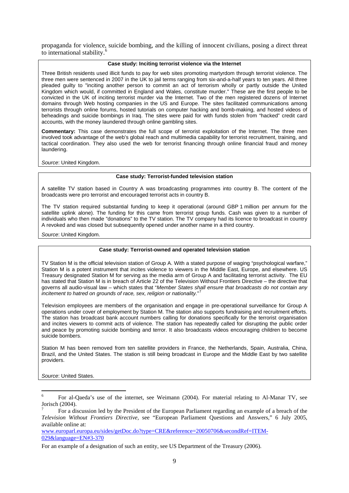propaganda for violence, suicide bombing, and the killing of innocent civilians, posing a direct threat to international stability.

#### **Case study: Inciting terrorist violence via the Internet**

Three British residents used illicit funds to pay for web sites promoting martyrdom through terrorist violence. The three men were sentenced in 2007 in the UK to jail terms ranging from six-and-a-half years to ten years. All three pleaded guilty to "inciting another person to commit an act of terrorism wholly or partly outside the United Kingdom which would, if committed in England and Wales, constitute murder.'' These are the first people to be convicted in the UK of inciting terrorist murder via the Internet. Two of the men registered dozens of Internet domains through Web hosting companies in the US and Europe. The sites facilitated communications among terrorists through online forums, hosted tutorials on computer hacking and bomb-making, and hosted videos of beheadings and suicide bombings in Iraq. The sites were paid for with funds stolen from "hacked" credit card accounts, with the money laundered through online gambling sites.

**Commentary:** This case demonstrates the full scope of terrorist exploitation of the Internet. The three men involved took advantage of the web's global reach and multimedia capability for terrorist recruitment, training, and tactical coordination. They also used the web for terrorist financing through online financial fraud and money laundering.

*Source*: United Kingdom.

## **Case study: Terrorist-funded television station**

A satellite TV station based in Country A was broadcasting programmes into country B. The content of the broadcasts were pro terrorist and encouraged terrorist acts in country B.

The TV station required substantial funding to keep it operational (around GBP 1 million per annum for the satellite uplink alone). The funding for this came from terrorist group funds. Cash was given to a number of individuals who then made "donations" to the TV station. The TV company had its licence to broadcast in country A revoked and was closed but subsequently opened under another name in a third country.

*Source*: United Kingdom.

## **Case study: Terrorist-owned and operated television station**

TV Station M is the official television station of Group A. With a stated purpose of waging "psychological warfare," Station M is a potent instrument that incites violence to viewers in the Middle East, Europe, and elsewhere. US Treasury designated Station M for serving as the media arm of Group A and facilitating terrorist activity. The EU has stated that Station M is in breach of Article 22 of the Television Without Frontiers Directive – the directive that governs all audio-visual law – which states that "*Member States shall ensure that broadcasts do not contain any incitement to hatred on grounds of race, sex, religion or nationality.*" [7](#page-8-1)

Television employees are members of the organisation and engage in pre-operational surveillance for Group A operations under cover of employment by Station M. The station also supports fundraising and recruitment efforts. The station has broadcast bank account numbers calling for donations specifically for the terrorist organisation and incites viewers to commit acts of violence. The station has repeatedly called for disrupting the public order and peace by promoting suicide bombing and terror. It also broadcasts videos encouraging children to become suicide bombers.

Station M has been removed from ten satellite providers in France, the Netherlands, Spain, Australia, China, Brazil, and the United States. The station is still being broadcast in Europe and the Middle East by two satellite providers.

*Source*: United States.

<u>.</u>

[www.europarl.europa.eu/sides/getDoc.do?type=CRE&reference=20050706&secondRef=ITEM-](http://www.europarl.europa.eu/sides/getDoc.do?type=CRE&reference=20050706&secondRef=ITEM-029&language=EN#3-370)[029&language=EN#3-370](http://www.europarl.europa.eu/sides/getDoc.do?type=CRE&reference=20050706&secondRef=ITEM-029&language=EN#3-370)

<span id="page-8-0"></span><sup>6</sup> For al-Qaeda's use of the internet, see Weimann (2004). For material relating to Al-Manar TV, see Jorisch (2004).

<span id="page-8-1"></span><sup>7</sup> For a discussion led by the President of the European Parliament regarding an example of a breach of the *Television Without Frontiers Directive,* see "European Parliament Questions and Answers," 6 July 2005, available online at:

For an example of a designation of such an entity, see US Department of the Treasury (2006).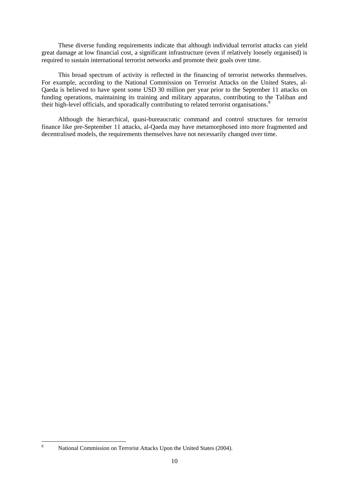These diverse funding requirements indicate that although individual terrorist attacks can yield great damage at low financial cost, a significant infrastructure (even if relatively loosely organised) is required to sustain international terrorist networks and promote their goals over time.

This broad spectrum of activity is reflected in the financing of terrorist networks themselves. For example, according to the National Commission on Terrorist Attacks on the United States, al-Qaeda is believed to have spent some USD 30 million per year prior to the September 11 attacks on funding operations, maintaining its training and military apparatus, contributing to the Taliban and their high-level officials, and sporadically contributing to related terrorist organisations.<sup>[8](#page-9-0)</sup>

Although the hierarchical, quasi-bureaucratic command and control structures for terrorist finance like pre-September 11 attacks, al-Qaeda may have metamorphosed into more fragmented and decentralised models, the requirements themselves have not necessarily changed over time.

<span id="page-9-0"></span> $\frac{1}{8}$ National Commission on Terrorist Attacks Upon the United States (2004).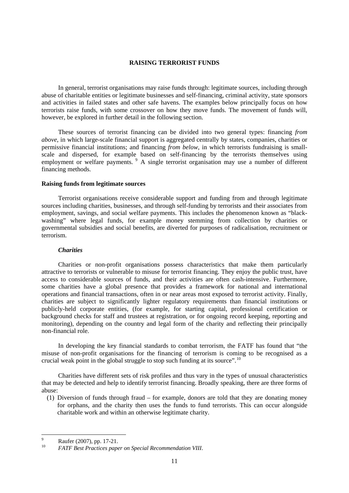## **RAISING TERRORIST FUNDS**

<span id="page-10-0"></span>In general, terrorist organisations may raise funds through: legitimate sources, including through abuse of charitable entities or legitimate businesses and self-financing, criminal activity, state sponsors and activities in failed states and other safe havens. The examples below principally focus on how terrorists raise funds, with some crossover on how they move funds. The movement of funds will, however, be explored in further detail in the following section.

These sources of terrorist financing can be divided into two general types: financing *from above*, in which large-scale financial support is aggregated centrally by states, companies, charities or permissive financial institutions; and financing *from below*, in which terrorists fundraising is smallscale and dispersed, for example based on self-financing by the terrorists themselves using employment or welfare payments. <sup>[9](#page-10-1)</sup> A single terrorist organisation may use a number of different financing methods.

#### **Raising funds from legitimate sources**

Terrorist organisations receive considerable support and funding from and through legitimate sources including charities, businesses, and through self-funding by terrorists and their associates from employment, savings, and social welfare payments. This includes the phenomenon known as "blackwashing" where legal funds, for example money stemming from collection by charities or governmental subsidies and social benefits, are diverted for purposes of radicalisation, recruitment or terrorism.

## *Charities*

Charities or non-profit organisations possess characteristics that make them particularly attractive to terrorists or vulnerable to misuse for terrorist financing. They enjoy the public trust, have access to considerable sources of funds, and their activities are often cash-intensive. Furthermore, some charities have a global presence that provides a framework for national and international operations and financial transactions, often in or near areas most exposed to terrorist activity. Finally, charities are subject to significantly lighter regulatory requirements than financial institutions or publicly-held corporate entities, (for example, for starting capital, professional certification or background checks for staff and trustees at registration, or for ongoing record keeping, reporting and monitoring), depending on the country and legal form of the charity and reflecting their principally non-financial role.

In developing the key financial standards to combat terrorism, the FATF has found that "the misuse of non-profit organisations for the financing of terrorism is coming to be recognised as a crucial weak point in the global struggle to stop such funding at its source".<sup>[10](#page-10-2)</sup>

Charities have different sets of risk profiles and thus vary in the types of unusual characteristics that may be detected and help to identify terrorist financing. Broadly speaking, there are three forms of abuse:

(1) Diversion of funds through fraud – for example, donors are told that they are donating money for orphans, and the charity then uses the funds to fund terrorists. This can occur alongside charitable work and within an otherwise legitimate charity.

<sup>-&</sup>lt;br>9 P Raufer (2007), pp. 17-21.

<span id="page-10-2"></span><span id="page-10-1"></span><sup>10</sup> *FATF Best Practices paper on Special Recommendation VIII*.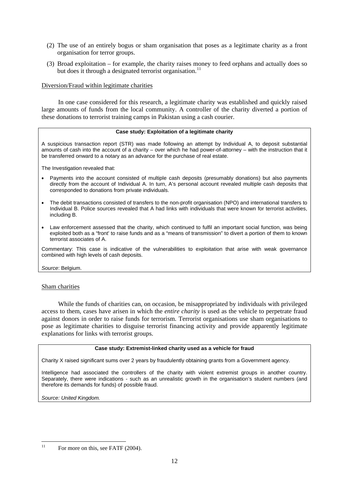- (2) The use of an entirely bogus or sham organisation that poses as a legitimate charity as a front organisation for terror groups.
- (3) Broad exploitation for example, the charity raises money to feed orphans and actually does so but does it through a designated terrorist organisation.<sup>[11](#page-11-0)</sup>

## Diversion/Fraud within legitimate charities

In one case considered for this research, a legitimate charity was established and quickly raised large amounts of funds from the local community. A controller of the charity diverted a portion of these donations to terrorist training camps in Pakistan using a cash courier.

## **Case study: Exploitation of a legitimate charity**

A suspicious transaction report (STR) was made following an attempt by Individual A, to deposit substantial amounts of cash into the account of a charity – over which he had power-of-attorney – with the instruction that it be transferred onward to a notary as an advance for the purchase of real estate.

The Investigation revealed that:

- Payments into the account consisted of multiple cash deposits (presumably donations) but also payments directly from the account of Individual A. In turn, A's personal account revealed multiple cash deposits that corresponded to donations from private individuals.
- The debit transactions consisted of transfers to the non-profit organisation (NPO) and international transfers to Individual B. Police sources revealed that A had links with individuals that were known for terrorist activities, including B.
- Law enforcement assessed that the charity, which continued to fulfil an important social function, was being exploited both as a "front' to raise funds and as a "means of transmission" to divert a portion of them to known terrorist associates of A.

Commentary: This case is indicative of the vulnerabilities to exploitation that arise with weak governance combined with high levels of cash deposits.

*Source*: Belgium.

Sham charities

While the funds of charities can, on occasion, be misappropriated by individuals with privileged access to them, cases have arisen in which the *entire charity* is used as the vehicle to perpetrate fraud against donors in order to raise funds for terrorism. Terrorist organisations use sham organisations to pose as legitimate charities to disguise terrorist financing activity and provide apparently legitimate explanations for links with terrorist groups.

## **Case study: Extremist-linked charity used as a vehicle for fraud**

Charity X raised significant sums over 2 years by fraudulently obtaining grants from a Government agency.

Intelligence had associated the controllers of the charity with violent extremist groups in another country. Separately, there were indications - such as an unrealistic growth in the organisation's student numbers (and therefore its demands for funds) of possible fraud.

*Source: United Kingdom.* 

<span id="page-11-0"></span> $11$ For more on this, see FATF (2004).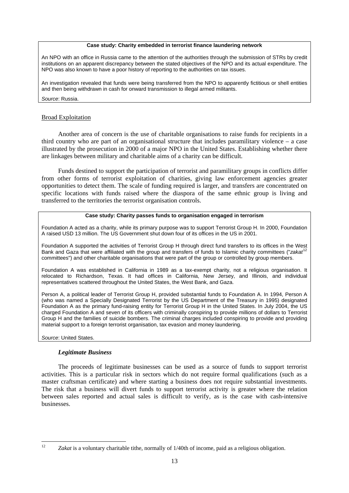#### **Case study: Charity embedded in terrorist finance laundering network**

An NPO with an office in Russia came to the attention of the authorities through the submission of STRs by credit institutions on an apparent discrepancy between the stated objectives of the NPO and its actual expenditure. The NPO was also known to have a poor history of reporting to the authorities on tax issues.

An investigation revealed that funds were being transferred from the NPO to apparently fictitious or shell entities and then being withdrawn in cash for onward transmission to illegal armed militants.

## *Source*: Russia.

## Broad Exploitation

Another area of concern is the use of charitable organisations to raise funds for recipients in a third country who are part of an organisational structure that includes paramilitary violence – a case illustrated by the prosecution in 2000 of a major NPO in the United States. Establishing whether there are linkages between military and charitable aims of a charity can be difficult.

Funds destined to support the participation of terrorist and paramilitary groups in conflicts differ from other forms of terrorist exploitation of charities, giving law enforcement agencies greater opportunities to detect them. The scale of funding required is larger, and transfers are concentrated on specific locations with funds raised where the diaspora of the same ethnic group is living and transferred to the territories the terrorist organisation controls.

## **Case study: Charity passes funds to organisation engaged in terrorism**

Foundation A acted as a charity, while its primary purpose was to support Terrorist Group H. In 2000, Foundation A raised USD 13 million. The US Government shut down four of its offices in the US in 2001.

Foundation A supported the activities of Terrorist Group H through direct fund transfers to its offices in the West Bank and Gaza that were affiliated with the group and transfers of funds to Islamic charity committees ("*zakat*[12](#page-12-0) committees") and other charitable organisations that were part of the group or controlled by group members.

Foundation A was established in California in 1989 as a tax-exempt charity, not a religious organisation. It relocated to Richardson, Texas. It had offices in California, New Jersey, and Illinois, and individual representatives scattered throughout the United States, the West Bank, and Gaza.

Person A, a political leader of Terrorist Group H, provided substantial funds to Foundation A. In 1994, Person A (who was named a Specially Designated Terrorist by the US Department of the Treasury in 1995) designated Foundation A as the primary fund-raising entity for Terrorist Group H in the United States. In July 2004, the US charged Foundation A and seven of its officers with criminally conspiring to provide millions of dollars to Terrorist Group H and the families of suicide bombers. The criminal charges included conspiring to provide and providing material support to a foreign terrorist organisation, tax evasion and money laundering.

*Source*: United States.

## *Legitimate Business*

The proceeds of legitimate businesses can be used as a source of funds to support terrorist activities. This is a particular risk in sectors which do not require formal qualifications (such as a master craftsman certificate) and where starting a business does not require substantial investments. The risk that a business will divert funds to support terrorist activity is greater where the relation between sales reported and actual sales is difficult to verify, as is the case with cash-intensive businesses.

<span id="page-12-0"></span> $12$ Zakat is a voluntary charitable tithe, normally of 1/40th of income, paid as a religious obligation.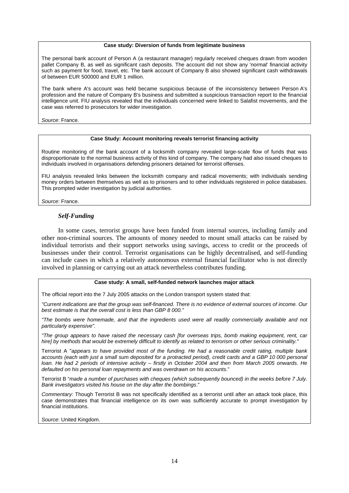#### **Case study: Diversion of funds from legitimate business**

The personal bank account of Person A (a restaurant manager) regularly received cheques drawn from wooden pallet Company B, as well as significant cash deposits. The account did not show any 'normal' financial activity such as payment for food, travel, etc. The bank account of Company B also showed significant cash withdrawals of between EUR 500000 and EUR 1 million.

The bank where A's account was held became suspicious because of the inconsistency between Person A's profession and the nature of Company B's business and submitted a suspicious transaction report to the financial intelligence unit. FIU analysis revealed that the individuals concerned were linked to Salafist movements, and the case was referred to prosecutors for wider investigation.

*Source*: France.

#### **Case Study: Account monitoring reveals terrorist financing activity**

Routine monitoring of the bank account of a locksmith company revealed large-scale flow of funds that was disproportionate to the normal business activity of this kind of company. The company had also issued cheques to individuals involved in organisations defending prisoners detained for terrorist offenses.

FIU analysis revealed links between the locksmith company and radical movements; with individuals sending money orders between themselves as well as to prisoners and to other individuals registered in police databases. This prompted wider investigation by judicial authorities.

*Source*: France.

## *Self-Funding*

In some cases, terrorist groups have been funded from internal sources, including family and other non-criminal sources. The amounts of money needed to mount small attacks can be raised by individual terrorists and their support networks using savings, access to credit or the proceeds of businesses under their control. Terrorist organisations can be highly decentralised, and self-funding can include cases in which a relatively autonomous external financial facilitator who is not directly involved in planning or carrying out an attack nevertheless contributes funding.

#### **Case study: A small, self-funded network launches major attack**

The official report into the 7 July 2005 attacks on the London transport system stated that:

*"Current indications are that the group was self-financed. There is no evidence of external sources of income. Our best estimate is that the overall cost is less than GBP 8 000."* 

*"The bombs were homemade, and that the ingredients used were all readily commercially available and not particularly expensive".* 

*"The group appears to have raised the necessary cash [for overseas trips, bomb making equipment, rent, car hire] by methods that would be extremely difficult to identify as related to terrorism or other serious criminality."* 

Terrorist A "*appears to have provided most of the funding. He had a reasonable credit rating, multiple bank*  accounts (each with just a small sum deposited for a protracted period), credit cards and a GBP 10 000 personal *loan. He had 2 periods of intensive activity – firstly in October 2004 and then from March 2005 onwards. He defaulted on his personal loan repayments and was overdrawn on his accounts*."

Terrorist B "*made a number of purchases with cheques (which subsequently bounced) in the weeks before 7 July. Bank investigators visited his house on the day after the bombings*."

*Commentary:* Though Terrorist B was not specifically identified as a terrorist until after an attack took place, this case demonstrates that financial intelligence on its own was sufficiently accurate to prompt investigation by financial institutions.

*Source*: United Kingdom.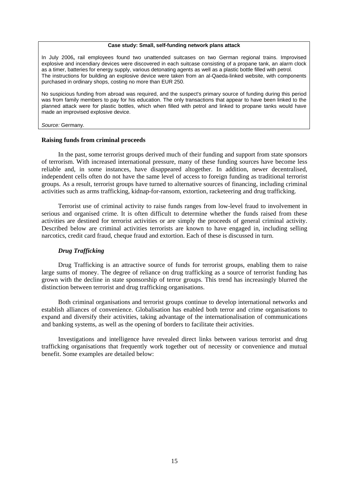#### **Case study: Small, self-funding network plans attack**

<span id="page-14-0"></span>In July 2006**,** rail employees found two unattended suitcases on two German regional trains. Improvised explosive and incendiary devices were discovered in each suitcase consisting of a propane tank, an alarm clock as a timer, batteries for energy supply, various detonating agents as well as a plastic bottle filled with petrol. The instructions for building an explosive device were taken from an al-Qaeda-linked website, with components purchased in ordinary shops, costing no more than EUR 250.

No suspicious funding from abroad was required, and the suspect's primary source of funding during this period was from family members to pay for his education. The only transactions that appear to have been linked to the planned attack were for plastic bottles, which when filled with petrol and linked to propane tanks would have made an improvised explosive device.

*Source:* Germany.

#### **Raising funds from criminal proceeds**

In the past, some terrorist groups derived much of their funding and support from state sponsors of terrorism. With increased international pressure, many of these funding sources have become less reliable and, in some instances, have disappeared altogether. In addition, newer decentralised, independent cells often do not have the same level of access to foreign funding as traditional terrorist groups. As a result, terrorist groups have turned to alternative sources of financing, including criminal activities such as arms trafficking, kidnap-for-ransom, extortion, racketeering and drug trafficking.

Terrorist use of criminal activity to raise funds ranges from low-level fraud to involvement in serious and organised crime. It is often difficult to determine whether the funds raised from these activities are destined for terrorist activities or are simply the proceeds of general criminal activity. Described below are criminal activities terrorists are known to have engaged in, including selling narcotics, credit card fraud, cheque fraud and extortion. Each of these is discussed in turn.

#### *Drug Trafficking*

Drug Trafficking is an attractive source of funds for terrorist groups, enabling them to raise large sums of money. The degree of reliance on drug trafficking as a source of terrorist funding has grown with the decline in state sponsorship of terror groups. This trend has increasingly blurred the distinction between terrorist and drug trafficking organisations.

Both criminal organisations and terrorist groups continue to develop international networks and establish alliances of convenience. Globalisation has enabled both terror and crime organisations to expand and diversify their activities, taking advantage of the internationalisation of communications and banking systems, as well as the opening of borders to facilitate their activities.

Investigations and intelligence have revealed direct links between various terrorist and drug trafficking organisations that frequently work together out of necessity or convenience and mutual benefit. Some examples are detailed below: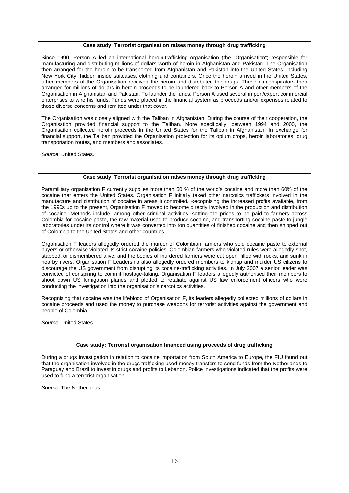#### **Case study: Terrorist organisation raises money through drug trafficking**

Since 1990, Person A led an international heroin-trafficking organisation (the "Organisation") responsible for manufacturing and distributing millions of dollars worth of heroin in Afghanistan and Pakistan. The Organisation then arranged for the heroin to be transported from Afghanistan and Pakistan into the United States, including New York City, hidden inside suitcases, clothing and containers. Once the heroin arrived in the United States, other members of the Organisation received the heroin and distributed the drugs. These co-conspirators then arranged for millions of dollars in heroin proceeds to be laundered back to Person A and other members of the Organisation in Afghanistan and Pakistan. To launder the funds, Person A used several import/export commercial enterprises to wire his funds. Funds were placed in the financial system as proceeds and/or expenses related to those diverse concerns and remitted under that cover.

The Organisation was closely aligned with the Taliban in Afghanistan. During the course of their cooperation, the Organisation provided financial support to the Taliban. More specifically, between 1994 and 2000, the Organisation collected heroin proceeds in the United States for the Taliban in Afghanistan. In exchange for financial support, the Taliban provided the Organisation protection for its opium crops, heroin laboratories, drug transportation routes, and members and associates.

*Source*: United States.

#### **Case study: Terrorist organisation raises money through drug trafficking**

Paramilitary organisation F currently supplies more than 50 % of the world's cocaine and more than 60% of the cocaine that enters the United States. Organisation F initially taxed other narcotics traffickers involved in the manufacture and distribution of cocaine in areas it controlled. Recognising the increased profits available, from the 1990s up to the present, Organisation F moved to become directly involved in the production and distribution of cocaine. Methods include, among other criminal activities, setting the prices to be paid to farmers across Colombia for cocaine paste, the raw material used to produce cocaine, and transporting cocaine paste to jungle laboratories under its control where it was converted into ton quantities of finished cocaine and then shipped out of Colombia to the United States and other countries.

Organisation F leaders allegedly ordered the murder of Colombian farmers who sold cocaine paste to external buyers or otherwise violated its strict cocaine policies. Colombian farmers who violated rules were allegedly shot, stabbed, or dismembered alive, and the bodies of murdered farmers were cut open, filled with rocks, and sunk in nearby rivers. Organisation F Leadership also allegedly ordered members to kidnap and murder US citizens to discourage the US government from disrupting its cocaine-trafficking activities. In July 2007 a senior leader was convicted of conspiring to commit hostage-taking. Organisation F leaders allegedly authorised their members to shoot down US fumigation planes and plotted to retaliate against US law enforcement officers who were conducting the investigation into the organisation's narcotics activities.

Recognising that cocaine was the lifeblood of Organisation F, its leaders allegedly collected millions of dollars in cocaine proceeds and used the money to purchase weapons for terrorist activities against the government and people of Colombia.

*Source*: United States.

#### **Case study: Terrorist organisation financed using proceeds of drug trafficking**

During a drugs investigation in relation to cocaine importation from South America to Europe, the FIU found out that the organisation involved in the drugs trafficking used money transfers to send funds from the Netherlands to Paraguay and Brazil to invest in drugs and profits to Lebanon. Police investigations indicated that the profits were used to fund a terrorist organisation.

*Source*: The Netherlands.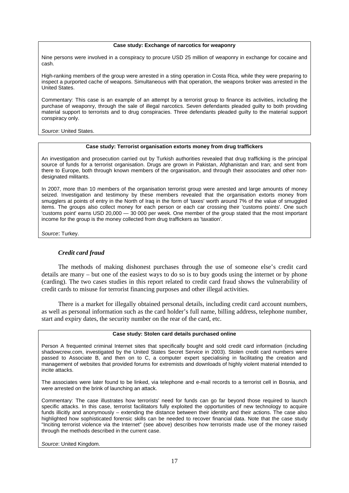#### **Case study: Exchange of narcotics for weaponry**

Nine persons were involved in a conspiracy to procure USD 25 million of weaponry in exchange for cocaine and cash.

High-ranking members of the group were arrested in a sting operation in Costa Rica, while they were preparing to inspect a purported cache of weapons. Simultaneous with that operation, the weapons broker was arrested in the United States.

Commentary: This case is an example of an attempt by a terrorist group to finance its activities, including the purchase of weaponry, through the sale of illegal narcotics. Seven defendants pleaded guilty to both providing material support to terrorists and to drug conspiracies. Three defendants pleaded guilty to the material support conspiracy only.

*Source*: United States.

#### **Case study: Terrorist organisation extorts money from drug traffickers**

An investigation and prosecution carried out by Turkish authorities revealed that drug trafficking is the principal source of funds for a terrorist organisation. Drugs are grown in Pakistan, Afghanistan and Iran; and sent from there to Europe, both through known members of the organisation, and through their associates and other nondesignated militants.

In 2007, more than 10 members of the organisation terrorist group were arrested and large amounts of money seized. Investigation and testimony by these members revealed that the organisation extorts money from smugglers at points of entry in the North of Iraq in the form of 'taxes' worth around 7% of the value of smuggled items. The groups also collect money for each person or each car crossing their 'customs points'. One such 'customs point' earns USD 20,000 — 30 000 per week. One member of the group stated that the most important income for the group is the money collected from drug traffickers as 'taxation'.

*Source*: Turkey.

## *Credit card fraud*

The methods of making dishonest purchases through the use of someone else's credit card details are many – but one of the easiest ways to do so is to buy goods using the internet or by phone (carding). The two cases studies in this report related to credit card fraud shows the vulnerability of credit cards to misuse for terrorist financing purposes and other illegal activities.

There is a market for illegally obtained personal details, including credit card account numbers, as well as personal information such as the card holder's full name, billing address, telephone number, start and expiry dates, the security number on the rear of the card, etc.

#### **Case study: Stolen card details purchased online**

Person A frequented criminal Internet sites that specifically bought and sold credit card information (including shadowcrew.com, investigated by the United States Secret Service in 2003). Stolen credit card numbers were passed to Associate B, and then on to C, a computer expert specialising in facilitating the creation and management of websites that provided forums for extremists and downloads of highly violent material intended to incite attacks.

The associates were later found to be linked, via telephone and e-mail records to a terrorist cell in Bosnia, and were arrested on the brink of launching an attack.

Commentary: The case illustrates how terrorists' need for funds can go far beyond those required to launch specific attacks. In this case, terrorist facilitators fully exploited the opportunities of new technology to acquire funds illicitly and anonymously – extending the distance between their identity and their actions. The case also highlighted how sophisticated forensic skills can be needed to recover financial data. Note that the case study "Inciting terrorist violence via the Internet" (see above) describes how terrorists made use of the money raised through the methods described in the current case.

*Source*: United Kingdom.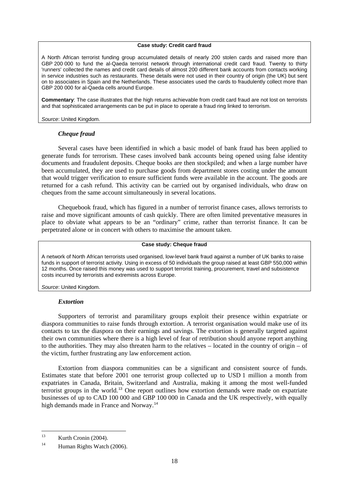#### **Case study: Credit card fraud**

A North African terrorist funding group accumulated details of nearly 200 stolen cards and raised more than GBP 200 000 to fund the al-Qaeda terrorist network through international credit card fraud. Twenty to thirty 'runners' collected the names and credit card details of almost 200 different bank accounts from contacts working in service industries such as restaurants. These details were not used in their country of origin (the UK) but sent on to associates in Spain and the Netherlands. These associates used the cards to fraudulently collect more than GBP 200 000 for al-Qaeda cells around Europe.

**Commentary**: The case illustrates that the high returns achievable from credit card fraud are not lost on terrorists and that sophisticated arrangements can be put in place to operate a fraud ring linked to terrorism.

*Source*: United Kingdom.

## *Cheque fraud*

Several cases have been identified in which a basic model of bank fraud has been applied to generate funds for terrorism. These cases involved bank accounts being opened using false identity documents and fraudulent deposits. Cheque books are then stockpiled; and when a large number have been accumulated, they are used to purchase goods from department stores costing under the amount that would trigger verification to ensure sufficient funds were available in the account. The goods are returned for a cash refund. This activity can be carried out by organised individuals, who draw on cheques from the same account simultaneously in several locations.

Chequebook fraud, which has figured in a number of terrorist finance cases, allows terrorists to raise and move significant amounts of cash quickly. There are often limited preventative measures in place to obviate what appears to be an "ordinary" crime, rather than terrorist finance. It can be perpetrated alone or in concert with others to maximise the amount taken.

#### **Case study: Cheque fraud**

A network of North African terrorists used organised, low-level bank fraud against a number of UK banks to raise funds in support of terrorist activity. Using in excess of 50 individuals the group raised at least GBP 550,000 within 12 months. Once raised this money was used to support terrorist training, procurement, travel and subsistence costs incurred by terrorists and extremists across Europe.

*Source*: United Kingdom.

## *Extortion*

Supporters of terrorist and paramilitary groups exploit their presence within expatriate or diaspora communities to raise funds through extortion. A terrorist organisation would make use of its contacts to tax the diaspora on their earnings and savings. The extortion is generally targeted against their own communities where there is a high level of fear of retribution should anyone report anything to the authorities. They may also threaten harm to the relatives – located in the country of origin – of the victim, further frustrating any law enforcement action.

Extortion from diaspora communities can be a significant and consistent source of funds. Estimates state that before 2001 one terrorist group collected up to USD 1 million a month from expatriates in Canada, Britain, Switzerland and Australia, making it among the most well-funded terrorist groups in the world.[13](#page-17-0) One report outlines how extortion demands were made on expatriate businesses of up to CAD 100 000 and GBP 100 000 in Canada and the UK respectively, with equally high demands made in France and Norway.<sup>[14](#page-17-1)</sup>

<span id="page-17-0"></span><sup>13</sup> Kurth Cronin (2004).

<span id="page-17-1"></span><sup>&</sup>lt;sup>14</sup> Human Rights Watch (2006).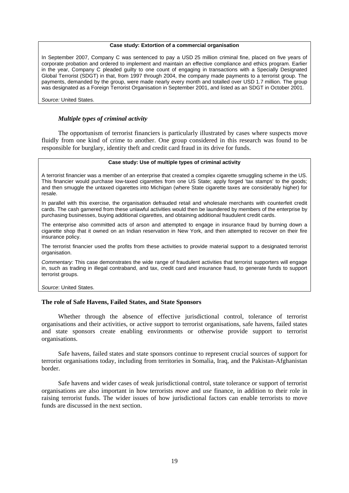#### **Case study: Extortion of a commercial organisation**

<span id="page-18-0"></span>In September 2007, Company C was sentenced to pay a USD 25 million criminal fine, placed on five years of corporate probation and ordered to implement and maintain an effective compliance and ethics program. Earlier in the year, Company C pleaded guilty to one count of engaging in transactions with a Specially Designated Global Terrorist (SDGT) in that, from 1997 through 2004, the company made payments to a terrorist group. The payments, demanded by the group, were made nearly every month and totalled over USD 1.7 million. The group was designated as a Foreign Terrorist Organisation in September 2001, and listed as an SDGT in October 2001.

*Source:* United States.

## *Multiple types of criminal activity*

The opportunism of terrorist financiers is particularly illustrated by cases where suspects move fluidly from one kind of crime to another. One group considered in this research was found to be responsible for burglary, identity theft and credit card fraud in its drive for funds.

#### **Case study: Use of multiple types of criminal activity**

A terrorist financier was a member of an enterprise that created a complex cigarette smuggling scheme in the US. This financier would purchase low-taxed cigarettes from one US State; apply forged 'tax stamps' to the goods; and then smuggle the untaxed cigarettes into Michigan (where State cigarette taxes are considerably higher) for resale.

In parallel with this exercise, the organisation defrauded retail and wholesale merchants with counterfeit credit cards. The cash garnered from these unlawful activities would then be laundered by members of the enterprise by purchasing businesses, buying additional cigarettes, and obtaining additional fraudulent credit cards.

The enterprise also committed acts of arson and attempted to engage in insurance fraud by burning down a cigarette shop that it owned on an Indian reservation in New York, and then attempted to recover on their fire insurance policy.

The terrorist financier used the profits from these activities to provide material support to a designated terrorist organisation.

*Commentary:* This case demonstrates the wide range of fraudulent activities that terrorist supporters will engage in, such as trading in illegal contraband, and tax, credit card and insurance fraud, to generate funds to support terrorist groups.

*Source*: United States.

## **The role of Safe Havens, Failed States, and State Sponsors**

Whether through the absence of effective jurisdictional control, tolerance of terrorist organisations and their activities, or active support to terrorist organisations, safe havens, failed states and state sponsors create enabling environments or otherwise provide support to terrorist organisations.

Safe havens, failed states and state sponsors continue to represent crucial sources of support for terrorist organisations today, including from territories in Somalia, Iraq, and the Pakistan-Afghanistan border.

Safe havens and wider cases of weak jurisdictional control, state tolerance or support of terrorist organisations are also important in how terrorists *move* and *use* finance, in addition to their role in raising terrorist funds. The wider issues of how jurisdictional factors can enable terrorists to move funds are discussed in the next section.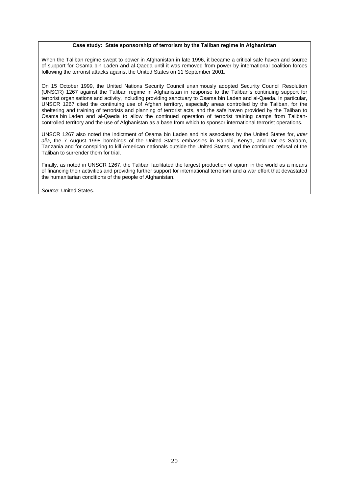#### **Case study: State sponsorship of terrorism by the Taliban regime in Afghanistan**

When the Taliban regime swept to power in Afghanistan in late 1996, it became a critical safe haven and source of support for Osama bin Laden and al-Qaeda until it was removed from power by international coalition forces following the terrorist attacks against the United States on 11 September 2001.

On 15 October 1999, the United Nations Security Council unanimously adopted Security Council Resolution (UNSCR) 1267 against the Taliban regime in Afghanistan in response to the Taliban's continuing support for terrorist organisations and activity, including providing sanctuary to Osama bin Laden and al-Qaeda. In particular, UNSCR 1267 cited the continuing use of Afghan territory, especially areas controlled by the Taliban, for the sheltering and training of terrorists and planning of terrorist acts, and the safe haven provided by the Taliban to Osama bin Laden and al-Qaeda to allow the continued operation of terrorist training camps from Talibancontrolled territory and the use of Afghanistan as a base from which to sponsor international terrorist operations.

UNSCR 1267 also noted the indictment of Osama bin Laden and his associates by the United States for, *inter*  alia, the 7 August 1998 bombings of the United States embassies in Nairobi, Kenya, and Dar es Salaam, Tanzania and for conspiring to kill American nationals outside the United States, and the continued refusal of the Taliban to surrender them for trial,

Finally, as noted in UNSCR 1267, the Taliban facilitated the largest production of opium in the world as a means of financing their activities and providing further support for international terrorism and a war effort that devastated the humanitarian conditions of the people of Afghanistan.

*Source*: United States.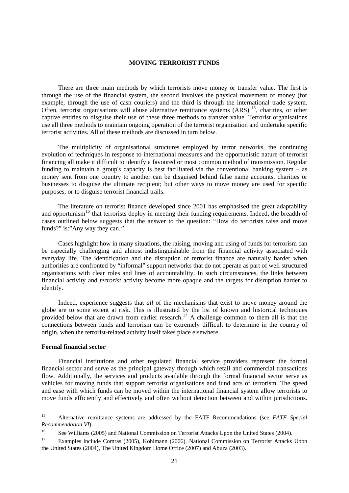## **MOVING TERRORIST FUNDS**

<span id="page-20-0"></span>There are three main methods by which terrorists move money or transfer value. The first is through the use of the financial system, the second involves the physical movement of money (for example, through the use of cash couriers) and the third is through the international trade system. Often, terrorist organisations will abuse alternative remittance systems (ARS) <sup>[15](#page-20-1)</sup>, charities, or other captive entities to disguise their use of these three methods to transfer value. Terrorist organisations use all three methods to maintain ongoing operation of the terrorist organisation and undertake specific terrorist activities. All of these methods are discussed in turn below.

The multiplicity of organisational structures employed by terror networks, the continuing evolution of techniques in response to international measures and the opportunistic nature of terrorist financing all make it difficult to identify a favoured or most common method of transmission. Regular funding to maintain a group's capacity is best facilitated via the conventional banking system – as money sent from one country to another can be disguised behind false name accounts, charities or businesses to disguise the ultimate recipient; but other ways to move money are used for specific purposes, or to disguise terrorist financial trails.

The literature on terrorist finance developed since 2001 has emphasised the great adaptability and opportunism<sup>[16](#page-20-2)</sup> that terrorists deploy in meeting their funding requirements. Indeed, the breadth of cases outlined below suggests that the answer to the question: "How do terrorists raise and move funds?" is:"Any way they can.*"*

Cases highlight how in many situations, the raising, moving and using of funds for terrorism can be especially challenging and almost indistinguishable from the financial activity associated with everyday life. The identification and the disruption of terrorist finance are naturally harder when authorities are confronted by "informal" support networks that do not operate as part of well structured organisations with clear roles and lines of accountability. In such circumstances, the links between financial activity and *terrorist* activity become more opaque and the targets for disruption harder to identify.

Indeed, experience suggests that *all* of the mechanisms that exist to move money around the globe are to some extent at risk. This is illustrated by the list of known and historical techniques provided below that are drawn from earlier research.<sup>[17](#page-20-3)</sup> A challenge common to them all is that the connections between funds and terrorism can be extremely difficult to determine in the country of origin, when the terrorist-related activity itself takes place elsewhere.

#### **Formal financial sector**

Financial institutions and other regulated financial service providers represent the formal financial sector and serve as the principal gateway through which retail and commercial transactions flow. Additionally, the services and products available through the formal financial sector serve as vehicles for moving funds that support terrorist organisations and fund acts of terrorism. The speed and ease with which funds can be moved within the international financial system allow terrorists to move funds efficiently and effectively and often without detection between and within jurisdictions.

<span id="page-20-1"></span> $15$ 15 Alternative remittance systems are addressed by the FATF Recommendations (see *FATF Special Recommendation VI*).<br><sup>16</sup> See Williams (2005) and National Commission on Terrorist Attacks Upon the United States (2004).

<span id="page-20-3"></span><span id="page-20-2"></span><sup>&</sup>lt;sup>17</sup> Examples include Comras (2005), Kohlmann (2006). National Commission on Terrorist Attacks Upon the United States (2004), The United Kingdom Home Office (2007) and Abuza (2003).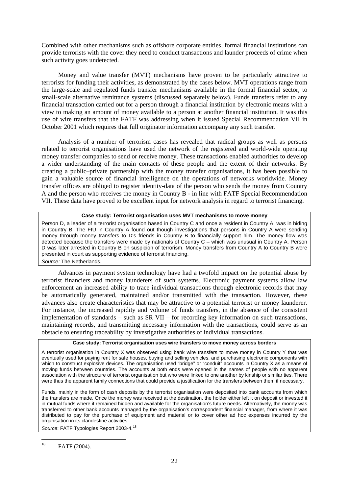Combined with other mechanisms such as offshore corporate entities, formal financial institutions can provide terrorists with the cover they need to conduct transactions and launder proceeds of crime when such activity goes undetected.

Money and value transfer (MVT) mechanisms have proven to be particularly attractive to terrorists for funding their activities, as demonstrated by the cases below. MVT operations range from the large-scale and regulated funds transfer mechanisms available in the formal financial sector, to small-scale alternative remittance systems (discussed separately below). Funds transfers refer to any financial transaction carried out for a person through a financial institution by electronic means with a view to making an amount of money available to a person at another financial institution. It was this use of wire transfers that the FATF was addressing when it issued Special Recommendation VII in October 2001 which requires that full originator information accompany any such transfer.

Analysis of a number of terrorism cases has revealed that radical groups as well as persons related to terrorist organisations have used the network of the registered and world-wide operating money transfer companies to send or receive money. These transactions enabled authorities to develop a wider understanding of the main contacts of these people and the extent of their networks. By creating a public–private partnership with the money transfer organisations, it has been possible to gain a valuable source of financial intelligence on the operations of networks worldwide. Money transfer offices are obliged to register identity-data of the person who sends the money from Country A and the person who receives the money in Country B - in line with FATF Special Recommendation VII. These data have proved to be excellent input for network analysis in regard to terrorist financing.

## **Case study: Terrorist organisation uses MVT mechanisms to move money**

Person D, a leader of a terrorist organisation based in Country C and once a resident in Country A, was in hiding in Country B. The FIU in Country A found out though investigations that persons in Country A were sending money through money transfers to D's friends in Country B to financially support him. The money flow was detected because the transfers were made by nationals of Country C – which was unusual in Country A. Person D was later arrested in Country B on suspicion of terrorism. Money transfers from Country A to Country B were presented in court as supporting evidence of terrorist financing. *Source:* The Netherlands.

Advances in payment system technology have had a twofold impact on the potential abuse by terrorist financiers and money launderers of such systems. Electronic payment systems allow law enforcement an increased ability to trace individual transactions through electronic records that may be automatically generated, maintained and/or transmitted with the transaction. However, these advances also create characteristics that may be attractive to a potential terrorist or money launderer. For instance, the increased rapidity and volume of funds transfers, in the absence of the consistent implementation of standards – such as SR VII – for recording key information on such transactions, maintaining records, and transmitting necessary information with the transactions, could serve as an obstacle to ensuring traceability by investigative authorities of individual transactions.

#### **Case study: Terrorist organisation uses wire transfers to move money across borders**

A terrorist organisation in Country X was observed using bank wire transfers to move money in Country Y that was eventually used for paying rent for safe houses, buying and selling vehicles, and purchasing electronic components with which to construct explosive devices. The organisation used "bridge" or "conduit" accounts in Country X as a means of moving funds between countries. The accounts at both ends were opened in the names of people with no apparent association with the structure of terrorist organisation but who were linked to one another by kinship or similar ties. There were thus the apparent family connections that could provide a justification for the transfers between them if necessary.

Funds, mainly in the form of cash deposits by the terrorist organisation were deposited into bank accounts from which the transfers are made. Once the money was received at the destination, the holder either left it on deposit or invested it in mutual funds where it remained hidden and available for the organisation's future needs. Alternatively, the money was transferred to other bank accounts managed by the organisation's correspondent financial manager, from where it was distributed to pay for the purchase of equipment and material or to cover other ad hoc expenses incurred by the organisation in its clandestine activities.

*Source*: FATF Typologies Report 2003-4.[18](#page-21-0)

<span id="page-21-0"></span><sup>18</sup> FATF (2004).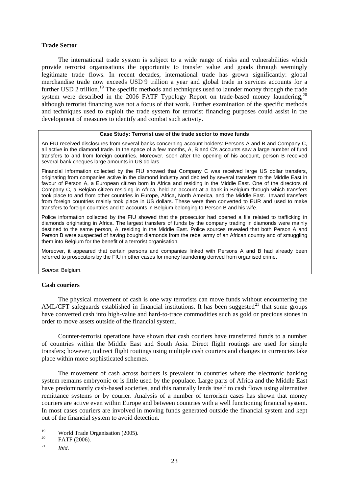## <span id="page-22-0"></span>**Trade Sector**

The international trade system is subject to a wide range of risks and vulnerabilities which provide terrorist organisations the opportunity to transfer value and goods through seemingly legitimate trade flows. In recent decades, international trade has grown significantly: global merchandise trade now exceeds USD 9 trillion a year and global trade in services accounts for a further USD 2 trillion.<sup>[19](#page-22-1)</sup> The specific methods and techniques used to launder money through the trade system were described in the [20](#page-22-2)06 FATF Typology Report on trade-based money laundering,<sup>20</sup> although terrorist financing was not a focus of that work. Further examination of the specific methods and techniques used to exploit the trade system for terrorist financing purposes could assist in the development of measures to identify and combat such activity.

#### **Case Study: Terrorist use of the trade sector to move funds**

An FIU received disclosures from several banks concerning account holders: Persons A and B and Company C, all active in the diamond trade. In the space of a few months, A, B and C's accounts saw a large number of fund transfers to and from foreign countries. Moreover, soon after the opening of his account, person B received several bank cheques large amounts in US dollars.

Financial information collected by the FIU showed that Company C was received large US dollar transfers, originating from companies active in the diamond industry and debited by several transfers to the Middle East in favour of Person A, a European citizen born in Africa and residing in the Middle East. One of the directors of Company C, a Belgian citizen residing in Africa, held an account at a bank in Belgium through which transfers took place to and from other countries in Europe, Africa, North America, and the Middle East. Inward transfers from foreign countries mainly took place in US dollars. These were then converted to EUR and used to make transfers to foreign countries and to accounts in Belgium belonging to Person B and his wife.

Police information collected by the FIU showed that the prosecutor had opened a file related to trafficking in diamonds originating in Africa. The largest transfers of funds by the company trading in diamonds were mainly destined to the same person, A, residing in the Middle East. Police sources revealed that both Person A and Person B were suspected of having bought diamonds from the rebel army of an African country and of smuggling them into Belgium for the benefit of a terrorist organisation.

Moreover, it appeared that certain persons and companies linked with Persons A and B had already been referred to prosecutors by the FIU in other cases for money laundering derived from organised crime.

*Source*: Belgium.

## **Cash couriers**

The physical movement of cash is one way terrorists can move funds without encountering the AML/CFT safeguards established in financial institutions. It has been suggested<sup>[21](#page-22-3)</sup> that some groups have converted cash into high-value and hard-to-trace commodities such as gold or precious stones in order to move assets outside of the financial system.

Counter-terrorist operations have shown that cash couriers have transferred funds to a number of countries within the Middle East and South Asia. Direct flight routings are used for simple transfers; however, indirect flight routings using multiple cash couriers and changes in currencies take place within more sophisticated schemes.

The movement of cash across borders is prevalent in countries where the electronic banking system remains embryonic or is little used by the populace. Large parts of Africa and the Middle East have predominantly cash-based societies, and this naturally lends itself to cash flows using alternative remittance systems or by courier. Analysis of a number of terrorism cases has shown that money couriers are active even within Europe and between countries with a well functioning financial system. In most cases couriers are involved in moving funds generated outside the financial system and kept out of the financial system to avoid detection.

<span id="page-22-1"></span><sup>19</sup> <sup>19</sup> World Trade Organisation (2005).<br><sup>20</sup> FATF (2006).

<span id="page-22-3"></span><span id="page-22-2"></span><sup>21</sup> *Ibid*.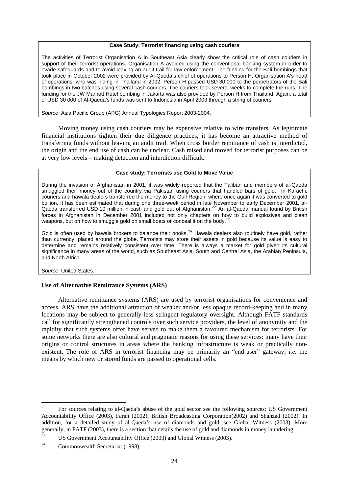#### **Case Study: Terrorist financing using cash couriers**

<span id="page-23-0"></span>The activities of Terrorist Organisation A in Southeast Asia clearly show the critical role of cash couriers in support of their terrorist operations. Organisation A avoided using the conventional banking system in order to evade safeguards and to avoid leaving an audit trail for law enforcement. The funding for the Bali bombings that took place in October 2002 were provided by Al-Qaeda's chief of operations to Person H, Organisation A's head of operations, who was hiding in Thailand in 2002. Person H passed USD 30 000 to the perpetrators of the Bali bombings in two batches using several cash couriers. The couriers took several weeks to complete the runs. The funding for the JW Marriott Hotel bombing in Jakarta was also provided by Person H from Thailand. Again, a total of USD 30 000 of Al-Qaeda's funds was sent to Indonesia in April 2003 through a string of couriers.

*Source*: Asia Pacific Group (APG) Annual Typologies Report 2003-2004.

Moving money using cash couriers may be expensive relative to wire transfers. As legitimate financial institutions tighten their due diligence practices, it has become an attractive method of transferring funds without leaving an audit trail. When cross border remittance of cash is interdicted, the origin and the end use of cash can be unclear. Cash raised and moved for terrorist purposes can be at very low levels – making detection and interdiction difficult.

#### **Case study: Terrorists use Gold to Move Value**

During the invasion of Afghanistan in 2001, it was widely reported that the Taliban and members of al-Qaeda smuggled their money out of the country via Pakistan using couriers that handled bars of gold. In Karachi, couriers and hawala dealers transferred the money to the Gulf Region, where once again it was converted to gold bullion. It has been estimated that during one three-week period in late November to early December 2001, al-Qaeda transferred USD 10 million in cash and gold out of Afghanistan.<sup>[22](#page-23-1)</sup> An al-Qaeda manual found by British forces in Afghanistan in December 2001 included not only chapters on how to build explosives and clean weapons, but on how to smuggle gold on small boats or conceal it on the body.<sup>2</sup>

Gold is often used by hawala brokers to balance their books.<sup>[24](#page-23-3)</sup> Hawala dealers also routinely have gold, rather than currency, placed around the globe. Terrorists may store their assets in gold because its value is easy to determine and remains relatively consistent over time. There is always a market for gold given its cultural significance in many areas of the world, such as Southeast Asia, South and Central Asia, the Arabian Peninsula, and North Africa.

*Source*: United States.

## **Use of Alternative Remittance Systems (ARS)**

Alternative remittance systems (ARS) are used by terrorist organisations for convenience and access. ARS have the additional attraction of weaker and/or less opaque record-keeping and in many locations may be subject to generally less stringent regulatory oversight. Although FATF standards call for significantly strengthened controls over such service providers, the level of anonymity and the rapidity that such systems offer have served to make them a favoured mechanism for terrorists. For some networks there are also cultural and pragmatic reasons for using these services: many have their origins or control structures in areas where the banking infrastructure is weak or practically nonexistent. The role of ARS in terrorist financing may be primarily an "end-user" gateway; *i.e.* the means by which new or stored funds are passed to operational cells.

<span id="page-23-1"></span> $22$ 22 For sources relating to al-Qaeda's abuse of the gold sector see the following sources: US Government Accountability Office (2003), Farah (2002), British Broadcasting Corporation(2002) and Shahzad (2002). In addition, for a detailed study of al-Qaeda's use of diamonds and gold, see Global Witness (2003). More generally, in FATF (2003), there is a section that details the use of gold and diamonds in money laundering.

<span id="page-23-2"></span><sup>&</sup>lt;sup>23</sup> US Government Accountability Office (2003) and Global Witness (2003).

<span id="page-23-3"></span><sup>&</sup>lt;sup>24</sup> Commonwealth Secretariat (1998).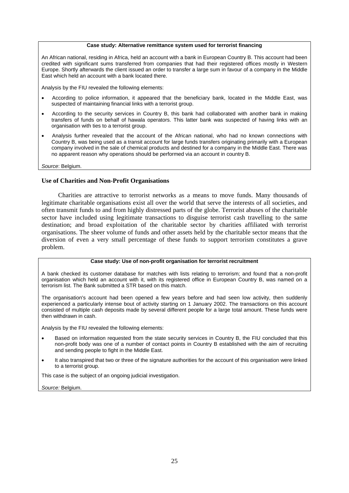#### **Case study: Alternative remittance system used for terrorist financing**

<span id="page-24-0"></span>An African national, residing in Africa, held an account with a bank in European Country B. This account had been credited with significant sums transferred from companies that had their registered offices mostly in Western Europe. Shortly afterwards the client issued an order to transfer a large sum in favour of a company in the Middle East which held an account with a bank located there.

Analysis by the FIU revealed the following elements:

- According to police information, it appeared that the beneficiary bank, located in the Middle East, was suspected of maintaining financial links with a terrorist group.
- According to the security services in Country B, this bank had collaborated with another bank in making transfers of funds on behalf of hawala operators. This latter bank was suspected of having links with an organisation with ties to a terrorist group.
- Analysis further revealed that the account of the African national, who had no known connections with Country B, was being used as a transit account for large funds transfers originating primarily with a European company involved in the sale of chemical products and destined for a company in the Middle East. There was no apparent reason why operations should be performed via an account in country B.

*Source*: Belgium.

## **Use of Charities and Non-Profit Organisations**

Charities are attractive to terrorist networks as a means to move funds. Many thousands of legitimate charitable organisations exist all over the world that serve the interests of all societies, and often transmit funds to and from highly distressed parts of the globe. Terrorist abuses of the charitable sector have included using legitimate transactions to disguise terrorist cash travelling to the same destination; and broad exploitation of the charitable sector by charities affiliated with terrorist organisations. The sheer volume of funds and other assets held by the charitable sector means that the diversion of even a very small percentage of these funds to support terrorism constitutes a grave problem.

## **Case study: Use of non-profit organisation for terrorist recruitment**

A bank checked its customer database for matches with lists relating to terrorism; and found that a non-profit organisation which held an account with it, with its registered office in European Country B, was named on a terrorism list. The Bank submitted a STR based on this match.

The organisation's account had been opened a few years before and had seen low activity, then suddenly experienced a particularly intense bout of activity starting on 1 January 2002. The transactions on this account consisted of multiple cash deposits made by several different people for a large total amount. These funds were then withdrawn in cash.

Analysis by the FIU revealed the following elements:

- Based on information requested from the state security services in Country B, the FIU concluded that this non-profit body was one of a number of contact points in Country B established with the aim of recruiting and sending people to fight in the Middle East.
- It also transpired that two or three of the signature authorities for the account of this organisation were linked to a terrorist group.

This case is the subject of an ongoing judicial investigation.

*Source:* Belgium.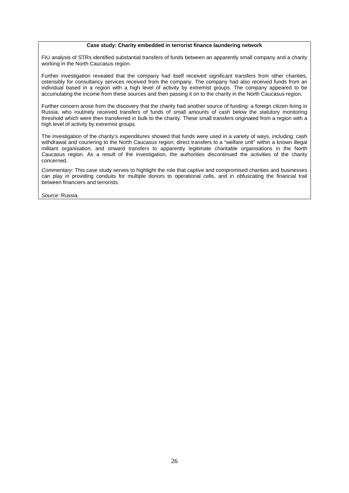#### **Case study: Charity embedded in terrorist finance laundering network**

FIU analysis of STRs identified substantial transfers of funds between an apparently small company and a charity working in the North Caucasus region.

Further investigation revealed that the company had itself received significant transfers from other charities, ostensibly for consultancy services received from the company. The company had also received funds from an individual based in a region with a high level of activity by extremist groups. The company appeared to be accumulating the income from these sources and then passing it on to the charity in the North Caucasus region.

Further concern arose from the discovery that the charity had another source of funding: a foreign citizen living in Russia, who routinely received transfers of funds of small amounts of cash below the statutory monitoring threshold which were then transferred in bulk to the charity. These small transfers originated from a region with a high level of activity by extremist groups.

The investigation of the charity's expenditures showed that funds were used in a variety of ways, including: cash withdrawal and couriering to the North Caucasus region; direct transfers to a "welfare unit" within a known illegal militant organisation; and onward transfers to apparently legitimate charitable organisations in the North Caucasus region. As a result of the investigation, the authorities discontinued the activities of the charity concerned.

*Commentary:* This case study serves to highlight the role that captive and compromised charities and businesses can play in providing conduits for multiple donors to operational cells, and in obfuscating the financial trail between financiers and terrorists.

*Source:* Russia.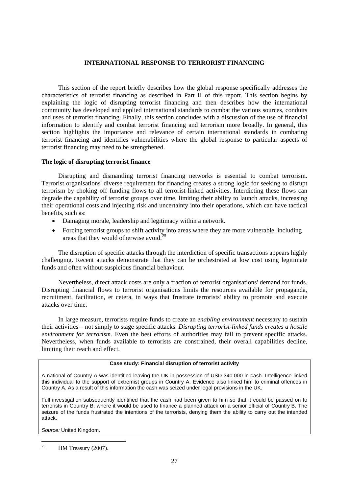## **INTERNATIONAL RESPONSE TO TERRORIST FINANCING**

<span id="page-26-0"></span>This section of the report briefly describes how the global response specifically addresses the characteristics of terrorist financing as described in Part II of this report. This section begins by explaining the logic of disrupting terrorist financing and then describes how the international community has developed and applied international standards to combat the various sources, conduits and uses of terrorist financing. Finally, this section concludes with a discussion of the use of financial information to identify and combat terrorist financing and terrorism more broadly. In general, this section highlights the importance and relevance of certain international standards in combating terrorist financing and identifies vulnerabilities where the global response to particular aspects of terrorist financing may need to be strengthened.

## **The logic of disrupting terrorist finance**

Disrupting and dismantling terrorist financing networks is essential to combat terrorism. Terrorist organisations' diverse requirement for financing creates a strong logic for seeking to disrupt terrorism by choking off funding flows to all terrorist-linked activities. Interdicting these flows can degrade the capability of terrorist groups over time, limiting their ability to launch attacks, increasing their operational costs and injecting risk and uncertainty into their operations, which can have tactical benefits, such as:

- Damaging morale, leadership and legitimacy within a network.
- Forcing terrorist groups to shift activity into areas where they are more vulnerable, including areas that they would otherwise avoid.<sup>[25](#page-26-1)</sup>

The disruption of specific attacks through the interdiction of specific transactions appears highly challenging. Recent attacks demonstrate that they can be orchestrated at low cost using legitimate funds and often without suspicious financial behaviour.

Nevertheless, direct attack costs are only a fraction of terrorist organisations' demand for funds. Disrupting financial flows to terrorist organisations limits the resources available for propaganda, recruitment, facilitation, et cetera, in ways that frustrate terrorists' ability to promote and execute attacks over time.

In large measure, terrorists require funds to create an *enabling environment* necessary to sustain their activities – not simply to stage specific attacks. *Disrupting terrorist-linked funds creates a hostile environment for terrorism.* Even the best efforts of authorities may fail to prevent specific attacks. Nevertheless, when funds available to terrorists are constrained, their overall capabilities decline, limiting their reach and effect.

## **Case study: Financial disruption of terrorist activity**

A national of Country A was identified leaving the UK in possession of USD 340 000 in cash. Intelligence linked this individual to the support of extremist groups in Country A. Evidence also linked him to criminal offences in Country A. As a result of this information the cash was seized under legal provisions in the UK.

Full investigation subsequently identified that the cash had been given to him so that it could be passed on to terrorists in Country B, where it would be used to finance a planned attack on a senior official of Country B. The seizure of the funds frustrated the intentions of the terrorists, denying them the ability to carry out the intended attack.

*Source:* United Kingdom.

<span id="page-26-1"></span> $25$ HM Treasury (2007).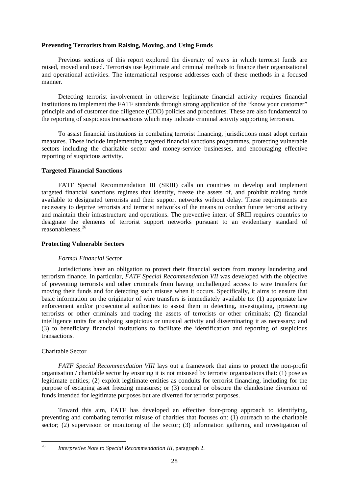## <span id="page-27-0"></span>**Preventing Terrorists from Raising, Moving, and Using Funds**

Previous sections of this report explored the diversity of ways in which terrorist funds are raised, moved and used. Terrorists use legitimate and criminal methods to finance their organisational and operational activities. The international response addresses each of these methods in a focused manner.

Detecting terrorist involvement in otherwise legitimate financial activity requires financial institutions to implement the FATF standards through strong application of the "know your customer" principle and of customer due diligence (CDD) policies and procedures. These are also fundamental to the reporting of suspicious transactions which may indicate criminal activity supporting terrorism.

To assist financial institutions in combating terrorist financing, jurisdictions must adopt certain measures. These include implementing targeted financial sanctions programmes, protecting vulnerable sectors including the charitable sector and money-service businesses, and encouraging effective reporting of suspicious activity.

## **Targeted Financial Sanctions**

FATF Special Recommendation III (SRIII) calls on countries to develop and implement targeted financial sanctions regimes that identify, freeze the assets of, and prohibit making funds available to designated terrorists and their support networks without delay. These requirements are necessary to deprive terrorists and terrorist networks of the means to conduct future terrorist activity and maintain their infrastructure and operations. The preventive intent of SRIII requires countries to designate the elements of terrorist support networks pursuant to an evidentiary standard of reasonableness.[26](#page-27-1)

#### **Protecting Vulnerable Sectors**

## *Formal Financial Sector*

Jurisdictions have an obligation to protect their financial sectors from money laundering and terrorism finance. In particular, *FATF Special Recommendation VII* was developed with the objective of preventing terrorists and other criminals from having unchallenged access to wire transfers for moving their funds and for detecting such misuse when it occurs. Specifically, it aims to ensure that basic information on the originator of wire transfers is immediately available to: (1) appropriate law enforcement and/or prosecutorial authorities to assist them in detecting, investigating, prosecuting terrorists or other criminals and tracing the assets of terrorists or other criminals; (2) financial intelligence units for analysing suspicious or unusual activity and disseminating it as necessary; and (3) to beneficiary financial institutions to facilitate the identification and reporting of suspicious transactions.

## Charitable Sector

*FATF Special Recommendation VIII* lays out a framework that aims to protect the non-profit organisation / charitable sector by ensuring it is not misused by terrorist organisations that: (1) pose as legitimate entities; (2) exploit legitimate entities as conduits for terrorist financing, including for the purpose of escaping asset freezing measures; or (3) conceal or obscure the clandestine diversion of funds intended for legitimate purposes but are diverted for terrorist purposes.

Toward this aim, FATF has developed an effective four-prong approach to identifying, preventing and combating terrorist misuse of charities that focuses on: (1) outreach to the charitable sector; (2) supervision or monitoring of the sector; (3) information gathering and investigation of

<span id="page-27-1"></span> $26\overline{)}$ 26 *Interpretive Note to Special Recommendation III*, paragraph 2.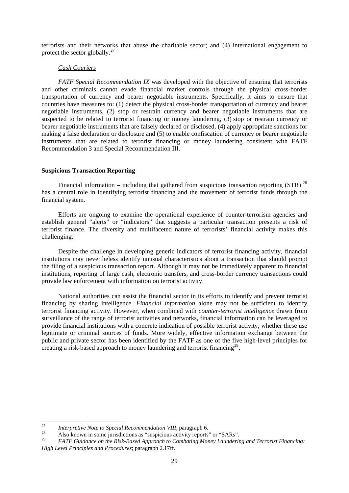<span id="page-28-0"></span>terrorists and their networks that abuse the charitable sector; and (4) international engagement to protect the sector globally. $^{27}$  $^{27}$  $^{27}$ 

## *Cash Couriers*

*FATF Special Recommendation IX* was developed with the objective of ensuring that terrorists and other criminals cannot evade financial market controls through the physical cross-border transportation of currency and bearer negotiable instruments. Specifically, it aims to ensure that countries have measures to: (1) detect the physical cross-border transportation of currency and bearer negotiable instruments, (2) stop or restrain currency and bearer negotiable instruments that are suspected to be related to terrorist financing or money laundering, (3) stop or restrain currency or bearer negotiable instruments that are falsely declared or disclosed, (4) apply appropriate sanctions for making a false declaration or disclosure and (5) to enable confiscation of currency or bearer negotiable instruments that are related to terrorist financing or money laundering consistent with FATF Recommendation 3 and Special Recommendation III.

## **Suspicious Transaction Reporting**

Financial information – including that gathered from suspicious transaction reporting  $(STR)^{28}$  $(STR)^{28}$  $(STR)^{28}$ has a central role in identifying terrorist financing and the movement of terrorist funds through the financial system.

Efforts are ongoing to examine the operational experience of counter-terrorism agencies and establish general "alerts" or "indicators" that suggests a particular transaction presents a risk of terrorist finance. The diversity and multifaceted nature of terrorists' financial activity makes this challenging.

Despite the challenge in developing generic indicators of terrorist financing activity, financial institutions may nevertheless identify unusual characteristics about a transaction that should prompt the filing of a suspicious transaction report. Although it may not be immediately apparent to financial institutions, reporting of large cash, electronic transfers, and cross-border currency transactions could provide law enforcement with information on terrorist activity.

National authorities can assist the financial sector in its efforts to identify and prevent terrorist financing by sharing intelligence. *Financial information* alone may not be sufficient to identify terrorist financing activity. However, when combined with *counter-terrorist intelligence* drawn from surveillance of the range of terrorist activities and networks, financial information can be leveraged to provide financial institutions with a concrete indication of possible terrorist activity, whether these use legitimate or criminal sources of funds. More widely, effective information exchange between the public and private sector has been identified by the FATF as one of the five high-level principles for creating a risk-based approach to money laundering and terrorist financing<sup>[29](#page-28-3)</sup>.

<sup>27</sup> 

<span id="page-28-2"></span><span id="page-28-1"></span><sup>&</sup>lt;sup>27</sup>*Interpretive Note to Special Recommendation VIII*, paragraph 6.<br><sup>28</sup> Also known in some jurisdictions as "suspicious activity reports" or "SARs".

<span id="page-28-3"></span><sup>29</sup> *FATF Guidance on the Risk-Based Approach to Combating Money Laundering and Terrorist Financing: High Level Principles and Procedures*; paragraph 2.17ff.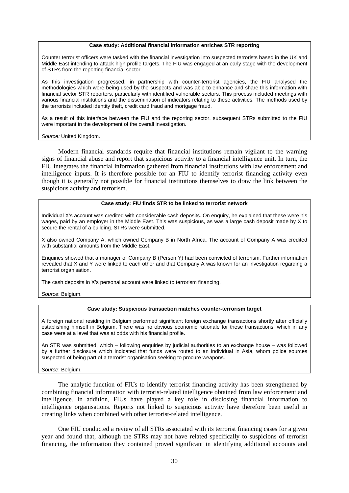#### **Case study: Additional financial information enriches STR reporting**

Counter terrorist officers were tasked with the financial investigation into suspected terrorists based in the UK and Middle East intending to attack high profile targets. The FIU was engaged at an early stage with the development of STRs from the reporting financial sector.

As this investigation progressed, in partnership with counter-terrorist agencies, the FIU analysed the methodologies which were being used by the suspects and was able to enhance and share this information with financial sector STR reporters, particularly with identified vulnerable sectors. This process included meetings with various financial institutions and the dissemination of indicators relating to these activities. The methods used by the terrorists included identity theft, credit card fraud and mortgage fraud.

As a result of this interface between the FIU and the reporting sector, subsequent STRs submitted to the FIU were important in the development of the overall investigation.

*Source:* United Kingdom.

Modern financial standards require that financial institutions remain vigilant to the warning signs of financial abuse and report that suspicious activity to a financial intelligence unit. In turn, the FIU integrates the financial information gathered from financial institutions with law enforcement and intelligence inputs. It is therefore possible for an FIU to identify terrorist financing activity even though it is generally not possible for financial institutions themselves to draw the link between the suspicious activity and terrorism.

#### **Case study: FIU finds STR to be linked to terrorist network**

Individual X's account was credited with considerable cash deposits. On enquiry, he explained that these were his wages, paid by an employer in the Middle East. This was suspicious, as was a large cash deposit made by X to secure the rental of a building. STRs were submitted.

X also owned Company A, which owned Company B in North Africa. The account of Company A was credited with substantial amounts from the Middle East.

Enquiries showed that a manager of Company B (Person Y) had been convicted of terrorism. Further information revealed that X and Y were linked to each other and that Company A was known for an investigation regarding a terrorist organisation.

The cash deposits in X's personal account were linked to terrorism financing.

*Source*: Belgium.

#### **Case study: Suspicious transaction matches counter-terrorism target**

A foreign national residing in Belgium performed significant foreign exchange transactions shortly after officially establishing himself in Belgium. There was no obvious economic rationale for these transactions, which in any case were at a level that was at odds with his financial profile.

An STR was submitted, which – following enquiries by judicial authorities to an exchange house – was followed by a further disclosure which indicated that funds were routed to an individual in Asia, whom police sources suspected of being part of a terrorist organisation seeking to procure weapons.

*Source*: Belgium.

The analytic function of FIUs to identify terrorist financing activity has been strengthened by combining financial information with terrorist-related intelligence obtained from law enforcement and intelligence. In addition, FIUs have played a key role in disclosing financial information to intelligence organisations. Reports not linked to suspicious activity have therefore been useful in creating links when combined with other terrorist-related intelligence.

One FIU conducted a review of all STRs associated with its terrorist financing cases for a given year and found that, although the STRs may not have related specifically to suspicions of terrorist financing, the information they contained proved significant in identifying additional accounts and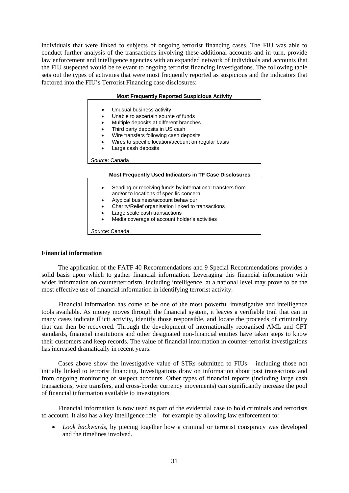<span id="page-30-0"></span>individuals that were linked to subjects of ongoing terrorist financing cases. The FIU was able to conduct further analysis of the transactions involving these additional accounts and in turn, provide law enforcement and intelligence agencies with an expanded network of individuals and accounts that the FIU suspected would be relevant to ongoing terrorist financing investigations. The following table sets out the types of activities that were most frequently reported as suspicious and the indicators that factored into the FIU's Terrorist Financing case disclosures:

#### **Most Frequently Reported Suspicious Activity**

- Unusual business activity
- Unable to ascertain source of funds
- Multiple deposits at different branches
- Third party deposits in US cash
- Wire transfers following cash deposits
- Wires to specific location/account on regular basis
- Large cash deposits

*Source*: Canada

#### **Most Frequently Used Indicators in TF Case Disclosures**

- Sending or receiving funds by international transfers from and/or to locations of specific concern
- Atypical business/account behaviour
- Charity/Relief organisation linked to transactions
- Large scale cash transactions
- Media coverage of account holder's activities

*Source*: Canada

## **Financial information**

The application of the FATF 40 Recommendations and 9 Special Recommendations provides a solid basis upon which to gather financial information. Leveraging this financial information with wider information on counterterrorism, including intelligence, at a national level may prove to be the most effective use of financial information in identifying terrorist activity.

Financial information has come to be one of the most powerful investigative and intelligence tools available. As money moves through the financial system, it leaves a verifiable trail that can in many cases indicate illicit activity, identify those responsible, and locate the proceeds of criminality that can then be recovered. Through the development of internationally recognised AML and CFT standards, financial institutions and other designated non-financial entities have taken steps to know their customers and keep records. The value of financial information in counter-terrorist investigations has increased dramatically in recent years.

Cases above show the investigative value of STRs submitted to FIUs – including those not initially linked to terrorist financing. Investigations draw on information about past transactions and from ongoing monitoring of suspect accounts. Other types of financial reports (including large cash transactions, wire transfers, and cross-border currency movements) can significantly increase the pool of financial information available to investigators.

Financial information is now used as part of the evidential case to hold criminals and terrorists to account. It also has a key intelligence role – for example by allowing law enforcement to:

• *Look backwards*, by piecing together how a criminal or terrorist conspiracy was developed and the timelines involved.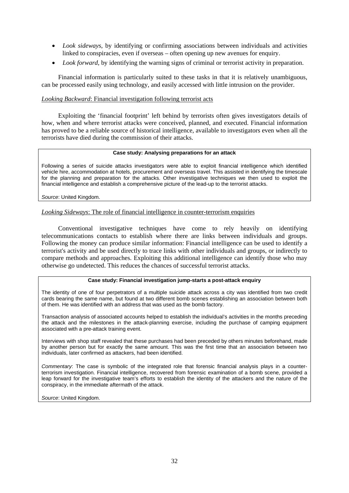- *Look sideways*, by identifying or confirming associations between individuals and activities linked to conspiracies, even if overseas – often opening up new avenues for enquiry.
- *Look forward*, by identifying the warning signs of criminal or terrorist activity in preparation.

Financial information is particularly suited to these tasks in that it is relatively unambiguous, can be processed easily using technology, and easily accessed with little intrusion on the provider.

## *Looking Backward*: Financial investigation following terrorist acts

Exploiting the 'financial footprint' left behind by terrorists often gives investigators details of how, when and where terrorist attacks were conceived, planned, and executed. Financial information has proved to be a reliable source of historical intelligence, available to investigators even when all the terrorists have died during the commission of their attacks.

## **Case study: Analysing preparations for an attack**

Following a series of suicide attacks investigators were able to exploit financial intelligence which identified vehicle hire, accommodation at hotels, procurement and overseas travel. This assisted in identifying the timescale for the planning and preparation for the attacks. Other investigative techniques we then used to exploit the financial intelligence and establish a comprehensive picture of the lead-up to the terrorist attacks.

*Source*: United Kingdom.

## *Looking Sideways*: The role of financial intelligence in counter-terrorism enquiries

Conventional investigative techniques have come to rely heavily on identifying telecommunications contacts to establish where there are links between individuals and groups. Following the money can produce similar information: Financial intelligence can be used to identify a terrorist's activity and be used directly to trace links with other individuals and groups, or indirectly to compare methods and approaches. Exploiting this additional intelligence can identify those who may otherwise go undetected. This reduces the chances of successful terrorist attacks.

## **Case study: Financial investigation jump-starts a post-attack enquiry**

The identity of one of four perpetrators of a multiple suicide attack across a city was identified from two credit cards bearing the same name, but found at two different bomb scenes establishing an association between both of them. He was identified with an address that was used as the bomb factory.

Transaction analysis of associated accounts helped to establish the individual's activities in the months preceding the attack and the milestones in the attack-planning exercise, including the purchase of camping equipment associated with a pre-attack training event.

Interviews with shop staff revealed that these purchases had been preceded by others minutes beforehand, made by another person but for exactly the same amount. This was the first time that an association between two individuals, later confirmed as attackers, had been identified.

*Commentary*: The case is symbolic of the integrated role that forensic financial analysis plays in a counterterrorism investigation. Financial intelligence, recovered from forensic examination of a bomb scene, provided a leap forward for the investigative team's efforts to establish the identity of the attackers and the nature of the conspiracy, in the immediate aftermath of the attack.

*Source*: United Kingdom.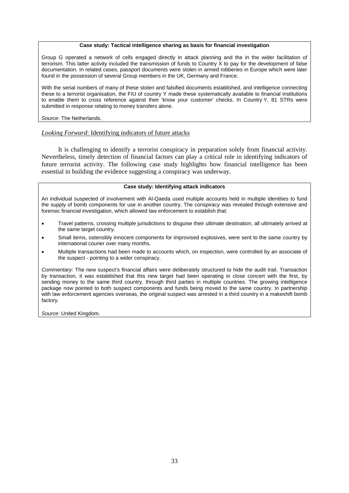#### **Case study: Tactical intelligence sharing as basis for financial investigation**

Group G operated a network of cells engaged directly in attack planning and the in the wider facilitation of terrorism. This latter activity included the transmission of funds to Country X to pay for the development of false documentation. In related cases, passport documents were stolen in armed robberies in Europe which were later found in the possession of several Group members in the UK, Germany and France.

With the serial numbers of many of these stolen and falsified documents established, and intelligence connecting these to a terrorist organisation, the FIU of country Y made these systematically available to financial institutions to enable them to cross reference against their 'know your customer' checks. In Country Y, 81 STRs were submitted in response relating to money transfers alone.

#### *Source*: The Netherlands.

## *Looking Forward*: Identifying indicators of future attacks

It is challenging to identify a terrorist conspiracy in preparation solely from financial activity. Nevertheless, timely detection of financial factors can play a critical role in identifying indicators of future terrorist activity. The following case study highlights how financial intelligence has been essential in building the evidence suggesting a conspiracy was underway.

#### **Case study: Identifying attack indicators**

An individual suspected of involvement with Al-Qaeda used multiple accounts held in multiple identities to fund the supply of bomb components for use in another country. The conspiracy was revealed through extensive and forensic financial investigation, which allowed law enforcement to establish that:

- Travel patterns, crossing multiple jurisdictions to disguise their ultimate destination, all ultimately arrived at the same target country.
- Small items, ostensibly innocent components for improvised explosives, were sent to the same country by international courier over many months.
- Multiple transactions had been made to accounts which, on inspection, were controlled by an associate of the suspect - pointing to a wider conspiracy.

*Commentary:* The new suspect's financial affairs were deliberately structured to hide the audit trail. Transaction by transaction, it was established that this new target had been operating in close concert with the first, by sending money to the same third country, through third parties in multiple countries. The growing intelligence package now pointed to both suspect components and funds being moved to the same country. In partnership with law enforcement agencies overseas, the original suspect was arrested in a third country in a makeshift bomb factory.

*Source*: United Kingdom.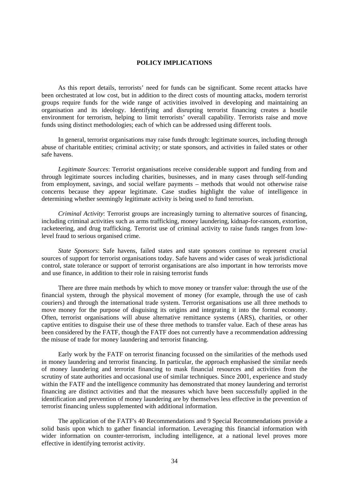## **POLICY IMPLICATIONS**

<span id="page-33-0"></span>As this report details, terrorists' need for funds can be significant. Some recent attacks have been orchestrated at low cost, but in addition to the direct costs of mounting attacks, modern terrorist groups require funds for the wide range of activities involved in developing and maintaining an organisation and its ideology. Identifying and disrupting terrorist financing creates a hostile environment for terrorism, helping to limit terrorists' overall capability. Terrorists raise and move funds using distinct methodologies; each of which can be addressed using different tools.

In general, terrorist organisations may raise funds through: legitimate sources, including through abuse of charitable entities; criminal activity; or state sponsors, and activities in failed states or other safe havens.

*Legitimate Sources*: Terrorist organisations receive considerable support and funding from and through legitimate sources including charities, businesses, and in many cases through self-funding from employment, savings, and social welfare payments – methods that would not otherwise raise concerns because they appear legitimate. Case studies highlight the value of intelligence in determining whether seemingly legitimate activity is being used to fund terrorism.

*Criminal Activity*: Terrorist groups are increasingly turning to alternative sources of financing, including criminal activities such as arms trafficking, money laundering, kidnap-for-ransom, extortion, racketeering, and drug trafficking. Terrorist use of criminal activity to raise funds ranges from lowlevel fraud to serious organised crime.

*State Sponsors*: Safe havens, failed states and state sponsors continue to represent crucial sources of support for terrorist organisations today. Safe havens and wider cases of weak jurisdictional control, state tolerance or support of terrorist organisations are also important in how terrorists move and use finance, in addition to their role in raising terrorist funds

There are three main methods by which to move money or transfer value: through the use of the financial system, through the physical movement of money (for example, through the use of cash couriers) and through the international trade system. Terrorist organisations use all three methods to move money for the purpose of disguising its origins and integrating it into the formal economy. Often, terrorist organisations will abuse alternative remittance systems (ARS), charities, or other captive entities to disguise their use of these three methods to transfer value. Each of these areas has been considered by the FATF, though the FATF does not currently have a recommendation addressing the misuse of trade for money laundering and terrorist financing.

Early work by the FATF on terrorist financing focussed on the similarities of the methods used in money laundering and terrorist financing. In particular, the approach emphasised the similar needs of money laundering and terrorist financing to mask financial resources and activities from the scrutiny of state authorities and occasional use of similar techniques. Since 2001, experience and study within the FATF and the intelligence community has demonstrated that money laundering and terrorist financing are distinct activities and that the measures which have been successfully applied in the identification and prevention of money laundering are by themselves less effective in the prevention of terrorist financing unless supplemented with additional information.

The application of the FATF's 40 Recommendations and 9 Special Recommendations provide a solid basis upon which to gather financial information. Leveraging this financial information with wider information on counter-terrorism, including intelligence, at a national level proves more effective in identifying terrorist activity.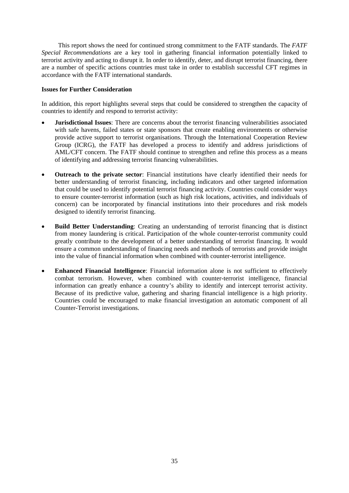<span id="page-34-0"></span>This report shows the need for continued strong commitment to the FATF standards. The *FATF Special Recommendations* are a key tool in gathering financial information potentially linked to terrorist activity and acting to disrupt it. In order to identify, deter, and disrupt terrorist financing, there are a number of specific actions countries must take in order to establish successful CFT regimes in accordance with the FATF international standards.

## **Issues for Further Consideration**

In addition, this report highlights several steps that could be considered to strengthen the capacity of countries to identify and respond to terrorist activity:

- **Jurisdictional Issues**: There are concerns about the terrorist financing vulnerabilities associated with safe havens, failed states or state sponsors that create enabling environments or otherwise provide active support to terrorist organisations. Through the International Cooperation Review Group (ICRG), the FATF has developed a process to identify and address jurisdictions of AML/CFT concern. The FATF should continue to strengthen and refine this process as a means of identifying and addressing terrorist financing vulnerabilities.
- **Outreach to the private sector**: Financial institutions have clearly identified their needs for better understanding of terrorist financing, including indicators and other targeted information that could be used to identify potential terrorist financing activity. Countries could consider ways to ensure counter-terrorist information (such as high risk locations, activities, and individuals of concern) can be incorporated by financial institutions into their procedures and risk models designed to identify terrorist financing.
- **Build Better Understanding**: Creating an understanding of terrorist financing that is distinct from money laundering is critical. Participation of the whole counter-terrorist community could greatly contribute to the development of a better understanding of terrorist financing. It would ensure a common understanding of financing needs and methods of terrorists and provide insight into the value of financial information when combined with counter-terrorist intelligence.
- **Enhanced Financial Intelligence**: Financial information alone is not sufficient to effectively combat terrorism. However, when combined with counter-terrorist intelligence, financial information can greatly enhance a country's ability to identify and intercept terrorist activity. Because of its predictive value, gathering and sharing financial intelligence is a high priority. Countries could be encouraged to make financial investigation an automatic component of all Counter-Terrorist investigations.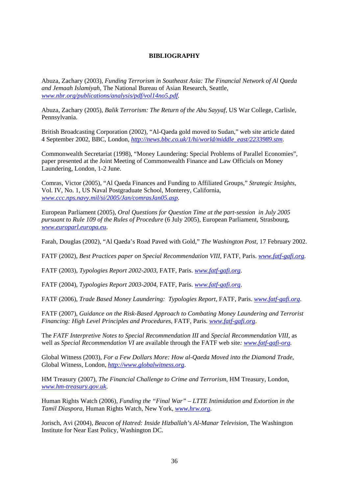## **BIBLIOGRAPHY**

<span id="page-35-0"></span>Abuza, Zachary (2003), *Funding Terrorism in Southeast Asia: The Financial Network of Al Qaeda and Jemaah Islamiyah*, The National Bureau of Asian Research, Seattle, *[www.nbr.org/publications/analysis/pdf/vol14no5.pdf](http://www.nbr.org/publications/analysis/pdf/vol14no5.pdf)*.

Abuza, Zachary (2005), *Balik Terrorism: The Return of the Abu Sayyaf*, US War College, Carlisle, Pennsylvania.

British Broadcasting Corporation (2002), "Al-Qaeda gold moved to Sudan," web site article dated 4 September 2002, BBC, London, *[http://news.bbc.co.uk/1/hi/world/middle\\_east/2233989.stm](http://news.bbc.co.uk/1/hi/world/middle_east/2233989.stm)*.

Commonwealth Secretariat (1998), "Money Laundering: Special Problems of Parallel Economies", paper presented at the Joint Meeting of Commonwealth Finance and Law Officials on Money Laundering, London, 1-2 June.

Comras, Victor (2005), "Al Qaeda Finances and Funding to Affiliated Groups," *Strategic Insights*, Vol. IV, No. 1, US Naval Postgraduate School, Monterey, California, *[www.ccc.nps.navy.mil/si/2005/Jan/comrasJan05.asp](http://www.ccc.nps.navy.mil/si/2005/Jan/comrasJan05.asp)*.

European Parliament (2005), *Oral Questions for Question Time at the part-session in July 2005 pursuant to Rule 109 of the Rules of Procedure* (6 July 2005), European Parliament, Strasbourg, *[www.europarl.europa.eu](http://www.europarl.europa.eu/)*.

Farah, Douglas (2002), "Al Qaeda's Road Paved with Gold," *The Washington Post*, 17 February 2002.

FATF (2002), *Best Practices paper on Special Recommendation VIII*, FATF, Paris. *[www.fatf-gafi.org](http://www.fatf-gafi.org/)*.

FATF (2003), *Typologies Report 2002-2003*, FATF, Paris. *[www.fatf-gafi.org](http://www.fatf-gafi.org/)*.

FATF (2004), *Typologies Report 2003-2004*, FATF, Paris. *[www.fatf-gafi.org](http://www.fatf-gafi.org/)*.

FATF (2006), *Trade Based Money Laundering: Typologies Report*, FATF, Paris. *[www.fatf-gafi.org](http://www.fatf-gafi.org/)*.

FATF (2007), *Guidance on the Risk-Based Approach to Combating Money Laundering and Terrorist Financing: High Level Principles and Procedures*, FATF, Paris. *[www.fatf-gafi.org](http://www.fatf-gafi.org/)*.

The *FATF Interpretive Notes to Special Recommendation III* and *Special Recommendation VIII*, as well as *Special Recommendation VI* are available through the FATF web site*: [www.fatf-gafi-org](http://www.fatf-gafi-org/).*

Global Witness (2003), *For a Few Dollars More: How al-Qaeda Moved into the Diamond Trade*, Global Witness, London, *[http://www.globalwitness.org](http://www.globalwitness.org/)*.

HM Treasury (2007), *The Financial Challenge to Crime and Terrorism*, HM Treasury, London, *[www.hm-treasury.gov.uk](http://www.hm-treasury.gov.uk/)*.

Human Rights Watch (2006), *Funding the "Final War" – LTTE Intimidation and Extortion in the Tamil Diaspora*, Human Rights Watch, New York, *[www.hrw.org](http://www.hrw.org/)*.

Jorisch, Avi (2004), *Beacon of Hatred: Inside Hizballah's Al-Manar Television,* The Washington Institute for Near East Policy, Washington DC.